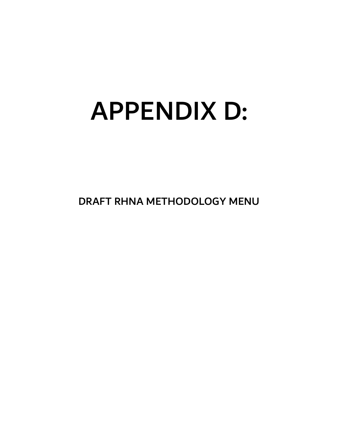# APPENDIX D:

DRAFT RHNA METHODOLOGY MENU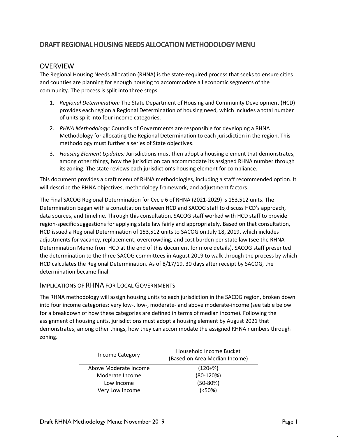#### **DRAFT REGIONAL HOUSING NEEDS ALLOCATION METHODOLOGY MENU**

#### OVERVIEW

The Regional Housing Needs Allocation (RHNA) is the state-required process that seeks to ensure cities and counties are planning for enough housing to accommodate all economic segments of the community. The process is split into three steps:

- 1. *Regional Determination:* The State Department of Housing and Community Development (HCD) provides each region a Regional Determination of housing need, which includes a total number of units split into four income categories.
- 2. *RHNA Methodology:* Councils of Governments are responsible for developing a RHNA Methodology for allocating the Regional Determination to each jurisdiction in the region. This methodology must further a series of State objectives.
- 3. *Housing Element Updates:* Jurisdictions must then adopt a housing element that demonstrates, among other things, how the jurisdiction can accommodate its assigned RHNA number through its zoning. The state reviews each jurisdiction's housing element for compliance.

This document provides a draft menu of RHNA methodologies, including a staff recommended option. It will describe the RHNA objectives, methodology framework, and adjustment factors.

The Final SACOG Regional Determination for Cycle 6 of RHNA (2021-2029) is 153,512 units. The Determination began with a consultation between HCD and SACOG staff to discuss HCD's approach, data sources, and timeline. Through this consultation, SACOG staff worked with HCD staff to provide region-specific suggestions for applying state law fairly and appropriately. Based on that consultation, HCD issued a Regional Determination of 153,512 units to SACOG on July 18, 2019, which includes adjustments for vacancy, replacement, overcrowding, and cost burden per state law (see the RHNA Determination Memo from HCD at the end of this document for more details). SACOG staff presented the determination to the three SACOG committees in August 2019 to walk through the process by which HCD calculates the Regional Determination. As of 8/17/19, 30 days after receipt by SACOG, the determination became final.

#### IMPLICATIONS OF RHNA FOR LOCAL GOVERNMENTS

The RHNA methodology will assign housing units to each jurisdiction in the SACOG region, broken down into four income categories: very low-, low-, moderate- and above moderate-income (see table below for a breakdown of how these categories are defined in terms of median income). Following the assignment of housing units, jurisdictions must adopt a housing element by August 2021 that demonstrates, among other things, how they can accommodate the assigned RHNA numbers through zoning.

| Income Category       | Household Income Bucket<br>(Based on Area Median Income) |
|-----------------------|----------------------------------------------------------|
| Above Moderate Income | $(120+%)$                                                |
| Moderate Income       | $(80-120%)$                                              |
| Low Income            | $(50-80%)$                                               |
| Very Low Income       | (<50%)                                                   |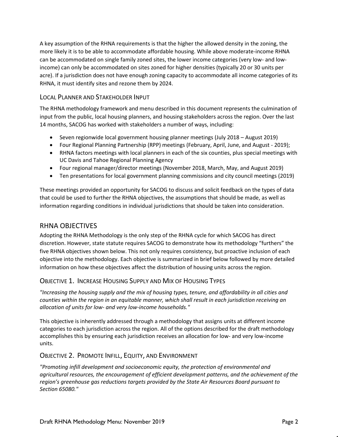A key assumption of the RHNA requirements is that the higher the allowed density in the zoning, the more likely it is to be able to accommodate affordable housing. While above moderate-income RHNA can be accommodated on single family zoned sites, the lower income categories (very low- and lowincome) can only be accommodated on sites zoned for higher densities (typically 20 or 30 units per acre). If a jurisdiction does not have enough zoning capacity to accommodate all income categories of its RHNA, it must identify sites and rezone them by 2024.

#### LOCAL PLANNER AND STAKEHOLDER INPUT

The RHNA methodology framework and menu described in this document represents the culmination of input from the public, local housing planners, and housing stakeholders across the region. Over the last 14 months, SACOG has worked with stakeholders a number of ways, including:

- Seven regionwide local government housing planner meetings (July 2018 August 2019)
- Four Regional Planning Partnership (RPP) meetings (February, April, June, and August 2019);
- RHNA factors meetings with local planners in each of the six counties, plus special meetings with UC Davis and Tahoe Regional Planning Agency
- Four regional manager/director meetings (November 2018, March, May, and August 2019)
- Ten presentations for local government planning commissions and city council meetings (2019)

These meetings provided an opportunity for SACOG to discuss and solicit feedback on the types of data that could be used to further the RHNA objectives, the assumptions that should be made, as well as information regarding conditions in individual jurisdictions that should be taken into consideration.

#### RHNA OBJECTIVES

Adopting the RHNA Methodology is the only step of the RHNA cycle for which SACOG has direct discretion. However, state statute requires SACOG to demonstrate how its methodology "furthers" the five RHNA objectives shown below. This not only requires consistency, but proactive inclusion of each objective into the methodology. Each objective is summarized in brief below followed by more detailed information on how these objectives affect the distribution of housing units across the region.

#### OBJECTIVE 1. INCREASE HOUSING SUPPLY AND MIX OF HOUSING TYPES

*"Increasing the housing supply and the mix of housing types, tenure, and affordability in all cities and counties within the region in an equitable manner, which shall result in each jurisdiction receiving an allocation of units for low- and very low-income households."*

This objective is inherently addressed through a methodology that assigns units at different income categories to each jurisdiction across the region. All of the options described for the draft methodology accomplishes this by ensuring each jurisdiction receives an allocation for low- and very low-income units.

#### OBJECTIVE 2. PROMOTE INFILL, EQUITY, AND ENVIRONMENT

*"Promoting infill development and socioeconomic equity, the protection of environmental and agricultural resources, the encouragement of efficient development patterns, and the achievement of the region's greenhouse gas reductions targets provided by the State Air Resources Board pursuant to Section 65080."*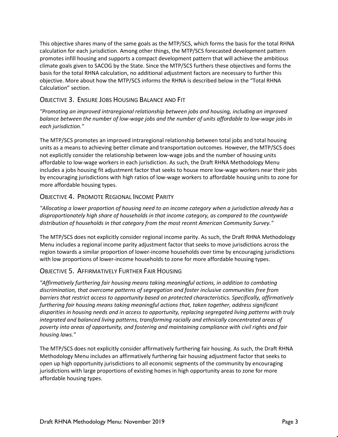This objective shares many of the same goals as the MTP/SCS, which forms the basis for the total RHNA calculation for each jurisdiction. Among other things, the MTP/SCS forecasted development pattern promotes infill housing and supports a compact development pattern that will achieve the ambitious climate goals given to SACOG by the State. Since the MTP/SCS furthers these objectives and forms the basis for the total RHNA calculation, no additional adjustment factors are necessary to further this objective. More about how the MTP/SCS informs the RHNA is described below in the "Total RHNA Calculation" section.

#### OBJECTIVE 3. ENSURE JOBS HOUSING BALANCE AND FIT

*"Promoting an improved intraregional relationship between jobs and housing, including an improved balance between the number of low-wage jobs and the number of units affordable to low-wage jobs in each jurisdiction."*

The MTP/SCS promotes an improved intraregional relationship between total jobs and total housing units as a means to achieving better climate and transportation outcomes. However, the MTP/SCS does not explicitly consider the relationship between low-wage jobs and the number of housing units affordable to low-wage workers in each jurisdiction. As such, the Draft RHNA Methodology Menu includes a jobs housing fit adjustment factor that seeks to house more low-wage workers near their jobs by encouraging jurisdictions with high ratios of low-wage workers to affordable housing units to zone for more affordable housing types.

#### OBJECTIVE 4. PROMOTE REGIONAL INCOME PARITY

*"Allocating a lower proportion of housing need to an income category when a jurisdiction already has a disproportionately high share of households in that income category, as compared to the countywide distribution of households in that category from the most recent American Community Survey."*

The MTP/SCS does not explicitly consider regional income parity. As such, the Draft RHNA Methodology Menu includes a regional income parity adjustment factor that seeks to move jurisdictions across the region towards a similar proportion of lower-income households over time by encouraging jurisdictions with low proportions of lower-income households to zone for more affordable housing types.

#### OBJECTIVE 5. AFFIRMATIVELY FURTHER FAIR HOUSING

*"Affirmatively furthering fair housing means taking meaningful actions, in addition to combating discrimination, that overcome patterns of segregation and foster inclusive communities free from barriers that restrict access to opportunity based on protected characteristics. Specifically, affirmatively furthering fair housing means taking meaningful actions that, taken together, address significant disparities in housing needs and in access to opportunity, replacing segregated living patterns with truly integrated and balanced living patterns, transforming racially and ethnically concentrated areas of poverty into areas of opportunity, and fostering and maintaining compliance with civil rights and fair housing laws."*

The MTP/SCS does not explicitly consider affirmatively furthering fair housing. As such, the Draft RHNA Methodology Menu includes an affirmatively furthering fair housing adjustment factor that seeks to open up high opportunity jurisdictions to all economic segments of the community by encouraging jurisdictions with large proportions of existing homes in high opportunity areas to zone for more affordable housing types.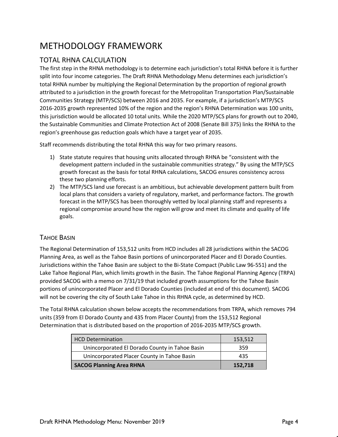# METHODOLOGY FRAMEWORK

### TOTAL RHNA CALCULATION

The first step in the RHNA methodology is to determine each jurisdiction's total RHNA before it is further split into four income categories. The Draft RHNA Methodology Menu determines each jurisdiction's total RHNA number by multiplying the Regional Determination by the proportion of regional growth attributed to a jurisdiction in the growth forecast for the Metropolitan Transportation Plan/Sustainable Communities Strategy (MTP/SCS) between 2016 and 2035. For example, if a jurisdiction's MTP/SCS 2016-2035 growth represented 10% of the region and the region's RHNA Determination was 100 units, this jurisdiction would be allocated 10 total units. While the 2020 MTP/SCS plans for growth out to 2040, the Sustainable Communities and Climate Protection Act of 2008 (Senate Bill 375) links the RHNA to the region's greenhouse gas reduction goals which have a target year of 2035.

Staff recommends distributing the total RHNA this way for two primary reasons.

- 1) State statute requires that housing units allocated through RHNA be "consistent with the development pattern included in the sustainable communities strategy." By using the MTP/SCS growth forecast as the basis for total RHNA calculations, SACOG ensures consistency across these two planning efforts.
- 2) The MTP/SCS land use forecast is an ambitious, but achievable development pattern built from local plans that considers a variety of regulatory, market, and performance factors. The growth forecast in the MTP/SCS has been thoroughly vetted by local planning staff and represents a regional compromise around how the region will grow and meet its climate and quality of life goals.

#### TAHOE BASIN

The Regional Determination of 153,512 units from HCD includes all 28 jurisdictions within the SACOG Planning Area, as well as the Tahoe Basin portions of unincorporated Placer and El Dorado Counties. Jurisdictions within the Tahoe Basin are subject to the Bi-State Compact (Public Law 96-551) and the Lake Tahoe Regional Plan, which limits growth in the Basin. The Tahoe Regional Planning Agency (TRPA) provided SACOG with a memo on 7/31/19 that included growth assumptions for the Tahoe Basin portions of unincorporated Placer and El Dorado Counties (included at end of this document). SACOG will not be covering the city of South Lake Tahoe in this RHNA cycle, as determined by HCD.

The Total RHNA calculation shown below accepts the recommendations from TRPA, which removes 794 units (359 from El Dorado County and 435 from Placer County) from the 153,512 Regional Determination that is distributed based on the proportion of 2016-2035 MTP/SCS growth.

| <b>HCD Determination</b>                       | 153,512 |
|------------------------------------------------|---------|
| Unincorporated El Dorado County in Tahoe Basin | 359     |
| Unincorporated Placer County in Tahoe Basin    | 435     |
| <b>SACOG Planning Area RHNA</b>                | 152.718 |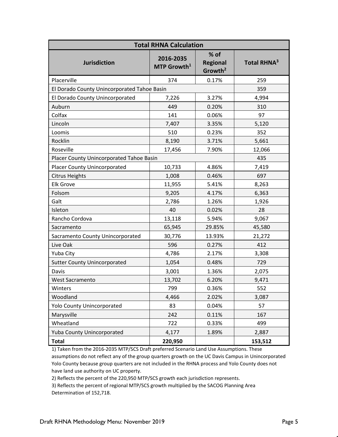| <b>Total RHNA Calculation</b>               |                                      |                                                  |                         |  |  |  |  |  |  |  |  |  |
|---------------------------------------------|--------------------------------------|--------------------------------------------------|-------------------------|--|--|--|--|--|--|--|--|--|
| <b>Jurisdiction</b>                         | 2016-2035<br>MTP Growth <sup>1</sup> | $%$ of<br><b>Regional</b><br>Growth <sup>2</sup> | Total RHNA <sup>3</sup> |  |  |  |  |  |  |  |  |  |
| Placerville                                 | 374                                  | 0.17%                                            | 259                     |  |  |  |  |  |  |  |  |  |
| El Dorado County Unincorporated Tahoe Basin |                                      |                                                  | 359                     |  |  |  |  |  |  |  |  |  |
| El Dorado County Unincorporated             | 7,226                                | 3.27%                                            | 4,994                   |  |  |  |  |  |  |  |  |  |
| Auburn                                      | 449                                  | 0.20%                                            | 310                     |  |  |  |  |  |  |  |  |  |
| Colfax                                      | 141                                  | 0.06%                                            | 97                      |  |  |  |  |  |  |  |  |  |
| Lincoln                                     | 7,407                                | 3.35%                                            | 5,120                   |  |  |  |  |  |  |  |  |  |
| Loomis                                      | 510                                  | 0.23%                                            | 352                     |  |  |  |  |  |  |  |  |  |
| Rocklin                                     | 8,190                                | 3.71%                                            | 5,661                   |  |  |  |  |  |  |  |  |  |
| Roseville                                   | 17,456                               | 7.90%                                            | 12,066                  |  |  |  |  |  |  |  |  |  |
| Placer County Unincorporated Tahoe Basin    |                                      |                                                  | 435                     |  |  |  |  |  |  |  |  |  |
| <b>Placer County Unincorporated</b>         | 10,733                               | 4.86%                                            | 7,419                   |  |  |  |  |  |  |  |  |  |
| <b>Citrus Heights</b>                       | 1,008                                | 0.46%                                            | 697                     |  |  |  |  |  |  |  |  |  |
| <b>Elk Grove</b>                            | 11,955                               | 5.41%                                            | 8,263                   |  |  |  |  |  |  |  |  |  |
| Folsom                                      | 9,205                                | 4.17%                                            | 6,363                   |  |  |  |  |  |  |  |  |  |
| Galt                                        | 2,786                                | 1.26%                                            | 1,926                   |  |  |  |  |  |  |  |  |  |
| Isleton                                     | 40                                   | 0.02%                                            | 28                      |  |  |  |  |  |  |  |  |  |
| Rancho Cordova                              | 13,118                               | 5.94%                                            | 9,067                   |  |  |  |  |  |  |  |  |  |
| Sacramento                                  | 65,945                               | 29.85%                                           | 45,580                  |  |  |  |  |  |  |  |  |  |
| Sacramento County Unincorporated            | 30,776                               | 13.93%                                           | 21,272                  |  |  |  |  |  |  |  |  |  |
| Live Oak                                    | 596                                  | 0.27%                                            | 412                     |  |  |  |  |  |  |  |  |  |
| Yuba City                                   | 4,786                                | 2.17%                                            | 3,308                   |  |  |  |  |  |  |  |  |  |
| <b>Sutter County Unincorporated</b>         | 1,054                                | 0.48%                                            | 729                     |  |  |  |  |  |  |  |  |  |
| Davis                                       | 3,001                                | 1.36%                                            | 2,075                   |  |  |  |  |  |  |  |  |  |
| <b>West Sacramento</b>                      | 13,702                               | 6.20%                                            | 9,471                   |  |  |  |  |  |  |  |  |  |
| Winters                                     | 799                                  | 0.36%                                            | 552                     |  |  |  |  |  |  |  |  |  |
| Woodland                                    | 4,466                                | 2.02%                                            | 3,087                   |  |  |  |  |  |  |  |  |  |
| <b>Yolo County Unincorporated</b>           | 83                                   | 0.04%                                            | 57                      |  |  |  |  |  |  |  |  |  |
| Marysville                                  | 242                                  | 0.11%                                            | 167                     |  |  |  |  |  |  |  |  |  |
| Wheatland                                   | 722                                  | 0.33%                                            | 499                     |  |  |  |  |  |  |  |  |  |
| Yuba County Unincorporated                  | 4,177                                | 1.89%                                            | 2,887                   |  |  |  |  |  |  |  |  |  |
| <b>Total</b>                                | 220,950                              |                                                  | 153,512                 |  |  |  |  |  |  |  |  |  |

1) Taken from the 2016-2035 MTP/SCS Draft preferred Scenario Land Use Assumptions. These assumptions do not reflect any of the group quarters growth on the UC Davis Campus in Unincorporated Yolo County because group quarters are not included in the RHNA process and Yolo County does not have land use authority on UC property.

2) Reflects the percent of the 220,950 MTP/SCS growth each jurisdiction represents.

3) Reflects the percent of regional MTP/SCS growth multiplied by the SACOG Planning Area Determination of 152,718.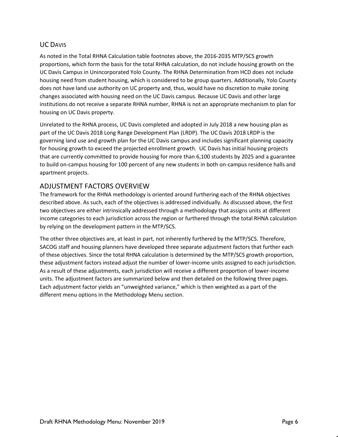#### UC DAVIS

As noted in the Total RHNA Calculation table footnotes above, the 2016-2035 MTP/SCS growth proportions, which form the basis for the total RHNA calculation, do not include housing growth on the UC Davis Campus in Unincorporated Yolo County. The RHNA Determination from HCD does not include housing need from student housing, which is considered to be group quarters. Additionally, Yolo County does not have land use authority on UC property and, thus, would have no discretion to make zoning changes associated with housing need on the UC Davis campus. Because UC Davis and other large institutions do not receive a separate RHNA number, RHNA is not an appropriate mechanism to plan for housing on UC Davis property.

Unrelated to the RHNA process, UC Davis completed and adopted in July 2018 a new housing plan as part of the UC Davis 2018 Long Range Development Plan (LRDP). The UC Davis 2018 LRDP is the governing land use and growth plan for the UC Davis campus and includes significant planning capacity for housing growth to exceed the projected enrollment growth. UC Davis has initial housing projects that are currently committed to provide housing for more than 6,100 students by 2025 and a guarantee to build on-campus housing for 100 percent of any new students in both on-campus residence halls and apartment projects.

#### ADJUSTMENT FACTORS OVERVIEW

The framework for the RHNA methodology is oriented around furthering each of the RHNA objectives described above. As such, each of the objectives is addressed individually. As discussed above, the first two objectives are either intrinsically addressed through a methodology that assigns units at different income categories to each jurisdiction across the region or furthered through the total RHNA calculation by relying on the development pattern in the MTP/SCS.

The other three objectives are, at least in part, not inherently furthered by the MTP/SCS. Therefore, SACOG staff and housing planners have developed three separate adjustment factors that further each of these objectives. Since the total RHNA calculation is determined by the MTP/SCS growth proportion, these adjustment factors instead adjust the number of lower-income units assigned to each jurisdiction. As a result of these adjustments, each jurisdiction will receive a different proportion of lower-income units. The adjustment factors are summarized below and then detailed on the following three pages. Each adjustment factor yields an "unweighted variance," which is then weighted as a part of the different menu options in the Methodology Menu section.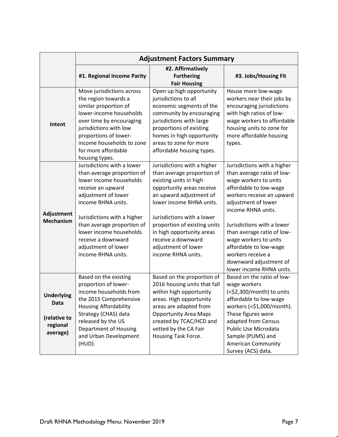|                                                                   |                                                                                                                                                                                                                                                                                                                  | <b>Adjustment Factors Summary</b>                                                                                                                                                                                                                                                                                                     |                                                                                                                                                                                                                                                                                                                                                                                  |
|-------------------------------------------------------------------|------------------------------------------------------------------------------------------------------------------------------------------------------------------------------------------------------------------------------------------------------------------------------------------------------------------|---------------------------------------------------------------------------------------------------------------------------------------------------------------------------------------------------------------------------------------------------------------------------------------------------------------------------------------|----------------------------------------------------------------------------------------------------------------------------------------------------------------------------------------------------------------------------------------------------------------------------------------------------------------------------------------------------------------------------------|
|                                                                   | #1. Regional Income Parity                                                                                                                                                                                                                                                                                       | #2. Affirmatively<br><b>Furthering</b><br><b>Fair Housing</b>                                                                                                                                                                                                                                                                         | #3. Jobs/Housing Fit                                                                                                                                                                                                                                                                                                                                                             |
| Intent                                                            | Move jurisdictions across<br>the region towards a<br>similar proportion of<br>lower-income households<br>over time by encouraging<br>jurisdictions with low<br>proportions of lower-<br>income households to zone<br>for more affordable<br>housing types.                                                       | Open up high opportunity<br>jurisdictions to all<br>economic segments of the<br>community by encouraging<br>jurisdictions with large<br>proportions of existing<br>homes in high opportunity<br>areas to zone for more<br>affordable housing types.                                                                                   | House more low-wage<br>workers near their jobs by<br>encouraging jurisdictions<br>with high ratios of low-<br>wage workers to affordable<br>housing units to zone for<br>more affordable housing<br>types.                                                                                                                                                                       |
| Adjustment<br><b>Mechanism</b>                                    | Jurisdictions with a lower<br>than average proportion of<br>lower income households<br>receive an upward<br>adjustment of lower<br>income RHNA units.<br>Jurisdictions with a higher<br>than average proportion of<br>lower income households<br>receive a downward<br>adjustment of lower<br>income RHNA units. | Jurisdictions with a higher<br>than average proportion of<br>existing units in high<br>opportunity areas receive<br>an upward adjustment of<br>lower income RHNA units.<br>Jurisdictions with a lower<br>proportion of existing units<br>in high opportunity areas<br>receive a downward<br>adjustment of lower<br>income RHNA units. | Jurisdictions with a higher<br>than average ratio of low-<br>wage workers to units<br>affordable to low-wage<br>workers receive an upward<br>adjustment of lower<br>income RHNA units.<br>Jurisdictions with a lower<br>than average ratio of low-<br>wage workers to units<br>affordable to low-wage<br>workers receive a<br>downward adjustment of<br>lower income RHNA units. |
| <b>Underlying</b><br>Data<br>(relative to<br>regional<br>average) | Based on the existing<br>proportion of lower-<br>income households from<br>the 2015 Comprehensive<br><b>Housing Affordability</b><br>Strategy (CHAS) data<br>released by the US<br>Department of Housing<br>and Urban Development<br>(HUD).                                                                      | Based on the proportion of<br>2016 housing units that fall<br>within high opportunity<br>areas. High opportunity<br>areas are adapted from<br><b>Opportunity Area Maps</b><br>created by TCAC/HCD and<br>vetted by the CA Fair<br>Housing Task Force.                                                                                 | Based on the ratio of low-<br>wage workers<br>(<\$2,300/month) to units<br>affordable to low-wage<br>workers (<\$1,000/month).<br>These figures were<br>adapted from Census<br>Public Use Microdata<br>Sample (PUMS) and<br><b>American Community</b><br>Survey (ACS) data.                                                                                                      |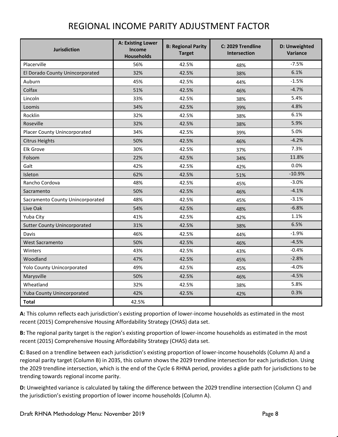## REGIONAL INCOME PARITY ADJUSTMENT FACTOR

| <b>Jurisdiction</b>                 | A: Existing Lower<br>Income<br><b>Households</b> | <b>B: Regional Parity</b><br><b>Target</b> | C: 2029 Trendline<br><b>Intersection</b> | D: Unweighted<br>Variance |
|-------------------------------------|--------------------------------------------------|--------------------------------------------|------------------------------------------|---------------------------|
| Placerville                         | 56%                                              | 42.5%                                      | 48%                                      | $-7.5%$                   |
| El Dorado County Unincorporated     | 32%                                              | 42.5%                                      | 38%                                      | 6.1%                      |
| Auburn                              | 45%                                              | 42.5%                                      | 44%                                      | $-1.5%$                   |
| Colfax                              | 51%                                              | 42.5%                                      | 46%                                      | $-4.7%$                   |
| Lincoln                             | 33%                                              | 42.5%                                      | 38%                                      | 5.4%                      |
| Loomis                              | 34%                                              | 42.5%                                      | 39%                                      | 4.8%                      |
| Rocklin                             | 32%                                              | 42.5%                                      | 38%                                      | 6.1%                      |
| Roseville                           | 32%                                              | 42.5%                                      | 38%                                      | 5.9%                      |
| Placer County Unincorporated        | 34%                                              | 42.5%                                      | 39%                                      | 5.0%                      |
| <b>Citrus Heights</b>               | 50%                                              | 42.5%                                      | 46%                                      | $-4.2%$                   |
| <b>Elk Grove</b>                    | 30%                                              | 42.5%                                      | 37%                                      | 7.3%                      |
| Folsom                              | 22%                                              | 42.5%                                      | 34%                                      | 11.8%                     |
| Galt                                | 42%                                              | 42.5%                                      | 42%                                      | 0.0%                      |
| Isleton                             | 62%                                              | 42.5%                                      | 51%                                      | $-10.9%$                  |
| Rancho Cordova                      | 48%                                              | 42.5%                                      | 45%                                      | $-3.0%$                   |
| Sacramento                          | 50%                                              | 42.5%                                      | 46%                                      | $-4.1%$                   |
| Sacramento County Unincorporated    | 48%                                              | 42.5%                                      | 45%                                      | $-3.1%$                   |
| Live Oak                            | 54%                                              | 42.5%                                      | 48%                                      | $-6.8%$                   |
| Yuba City                           | 41%                                              | 42.5%                                      | 42%                                      | 1.1%                      |
| <b>Sutter County Unincorporated</b> | 31%                                              | 42.5%                                      | 38%                                      | 6.5%                      |
| Davis                               | 46%                                              | 42.5%                                      | 44%                                      | $-1.9%$                   |
| <b>West Sacramento</b>              | 50%                                              | 42.5%                                      | 46%                                      | $-4.5%$                   |
| Winters                             | 43%                                              | 42.5%                                      | 43%                                      | $-0.4%$                   |
| Woodland                            | 47%                                              | 42.5%                                      | 45%                                      | $-2.8%$                   |
| Yolo County Unincorporated          | 49%                                              | 42.5%                                      | 45%                                      | $-4.0%$                   |
| Marysville                          | 50%                                              | 42.5%                                      | 46%                                      | $-4.5%$                   |
| Wheatland                           | 32%                                              | 42.5%                                      | 38%                                      | 5.8%                      |
| Yuba County Unincorporated          | 42%                                              | 42.5%                                      | 42%                                      | 0.3%                      |
| <b>Total</b>                        | 42.5%                                            |                                            |                                          |                           |

**A:** This column reflects each jurisdiction's existing proportion of lower-income households as estimated in the most recent (2015) Comprehensive Housing Affordability Strategy (CHAS) data set.

**B:** The regional parity target is the region's existing proportion of lower-income households as estimated in the most recent (2015) Comprehensive Housing Affordability Strategy (CHAS) data set.

**C:** Based on a trendline between each jurisdiction's existing proportion of lower-income households (Column A) and a regional parity target (Column B) in 2035, this column shows the 2029 trendline intersection for each jurisdiction. Using the 2029 trendline intersection, which is the end of the Cycle 6 RHNA period, provides a glide path for jurisdictions to be trending towards regional income parity.

**D:** Unweighted variance is calculated by taking the difference between the 2029 trendline intersection (Column C) and the jurisdiction's existing proportion of lower income households (Column A).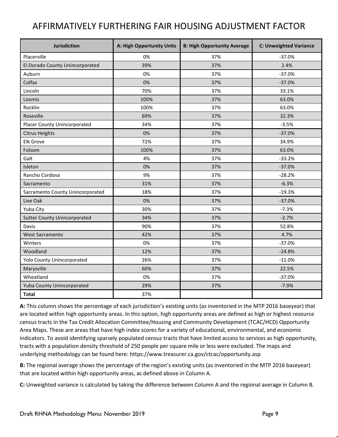# AFFIRMATIVELY FURTHERING FAIR HOUSING ADJUSTMENT FACTOR

| <b>Jurisdiction</b>                 | A: High Opportunity Units | <b>B: High Opportunity Average</b> | <b>C: Unweighted Variance</b> |
|-------------------------------------|---------------------------|------------------------------------|-------------------------------|
| Placerville                         | 0%                        | 37%                                | $-37.0%$                      |
| El Dorado County Unincorporated     | 39%                       | 37%                                | 2.4%                          |
| Auburn                              | 0%                        | 37%                                | $-37.0%$                      |
| Colfax                              | 0%                        | 37%                                | $-37.0%$                      |
| Lincoln                             | 70%                       | 37%                                | 33.1%                         |
| Loomis                              | 100%                      | 37%                                | 63.0%                         |
| Rocklin                             | 100%                      | 37%                                | 63.0%                         |
| Roseville                           | 69%                       | 37%                                | 32.3%                         |
| Placer County Unincorporated        | 34%                       | 37%                                | $-3.5%$                       |
| <b>Citrus Heights</b>               | 0%                        | 37%                                | $-37.0%$                      |
| <b>Elk Grove</b>                    | 72%                       | 37%                                | 34.9%                         |
| Folsom                              | 100%                      | 37%                                | 63.0%                         |
| Galt                                | 4%                        | 37%                                | $-33.2%$                      |
| Isleton                             | 0%                        | 37%                                | $-37.0%$                      |
| Rancho Cordova                      | 9%                        | 37%                                | $-28.2%$                      |
| Sacramento                          | 31%                       | 37%                                | $-6.3%$                       |
| Sacramento County Unincorporated    | 18%                       | 37%                                | $-19.3%$                      |
| Live Oak                            | 0%                        | 37%                                | $-37.0%$                      |
| Yuba City                           | 30%                       | 37%                                | $-7.3%$                       |
| <b>Sutter County Unincorporated</b> | 34%                       | 37%                                | $-2.7%$                       |
| Davis                               | 90%                       | 37%                                | 52.8%                         |
| <b>West Sacramento</b>              | 42%                       | 37%                                | 4.7%                          |
| Winters                             | 0%                        | 37%                                | $-37.0%$                      |
| Woodland                            | 12%                       | 37%                                | $-24.8%$                      |
| Yolo County Unincorporated          | 26%                       | 37%                                | $-11.0%$                      |
| Marysville                          | 60%                       | 37%                                | 22.5%                         |
| Wheatland                           | 0%                        | 37%                                | $-37.0%$                      |
| Yuba County Unincorporated          | 29%                       | 37%                                | $-7.9%$                       |
| <b>Total</b>                        | 37%                       |                                    |                               |

**A:** This column shows the percentage of each jurisdiction's existing units (as inventoried in the MTP 2016 baseyear) that are located within high opportunity areas. In this option, high opportunity areas are defined as high or highest resource census tracts in the Tax Credit Allocation Committee/Housing and Community Development (TCAC/HCD) Opportunity Area Maps. These are areas that have high index scores for a variety of educational, environmental, and economic indicators. To avoid identifying sparsely populated census tracts that have limited access to services as high opportunity, tracts with a population density threshold of 250 people per square mile or less were excluded. The maps and underlying methodology can be found here:<https://www.treasurer.ca.gov/ctcac/opportunity.asp>

**B:** The regional average shows the percentage of the region's existing units (as inventoried in the MTP 2016 baseyear) that are located within high opportunity areas, as defined above in Column A.

**C:** Unweighted variance is calculated by taking the difference between Column A and the regional average in Column B.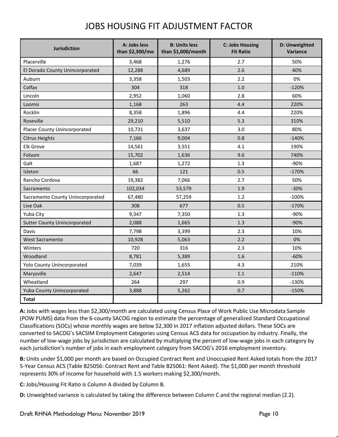# JOBS HOUSING FIT ADJUSTMENT FACTOR

| <b>Jurisdiction</b>                 | A: Jobs less<br>than \$2,300/mo | <b>B: Units less</b><br>than \$1,000/month | <b>C: Jobs Housing</b><br><b>Fit Ratio</b> | D: Unweighted<br>Variance |  |  |
|-------------------------------------|---------------------------------|--------------------------------------------|--------------------------------------------|---------------------------|--|--|
| Placerville                         | 3,468                           | 1,276                                      | 2.7                                        | 50%                       |  |  |
| El Dorado County Unincorporated     | 12,288                          | 4,689                                      | 2.6                                        | 40%                       |  |  |
| Auburn                              | 3,358                           | 1,503                                      | 2.2                                        | 0%                        |  |  |
| Colfax                              | 304                             | 318                                        | 1.0                                        | $-120%$                   |  |  |
| Lincoln                             | 2,952                           | 1,060                                      | 2.8                                        | 60%                       |  |  |
| Loomis                              | 1,168                           | 263                                        | 4.4                                        | 220%                      |  |  |
| Rocklin                             | 8,358                           | 1,896                                      | 4.4                                        | 220%                      |  |  |
| Roseville                           | 29,210                          | 5,510                                      | 5.3                                        | 310%                      |  |  |
| <b>Placer County Unincorporated</b> | 10,731                          | 3,637                                      | 3.0                                        | 80%                       |  |  |
| <b>Citrus Heights</b>               | 7,166                           | 9,004                                      | 0.8                                        | $-140%$                   |  |  |
| <b>Elk Grove</b>                    | 14,561                          | 3,551                                      | 4.1                                        | 190%                      |  |  |
| Folsom                              | 15,702                          | 1,636                                      | 9.6                                        | 740%                      |  |  |
| Galt                                | 1,687                           | 1,272                                      | 1.3                                        | -90%                      |  |  |
| Isleton                             | 66                              | 121                                        | 0.5                                        | $-170%$                   |  |  |
| Rancho Cordova                      | 19,382                          | 7,066                                      | 2.7                                        | 50%                       |  |  |
| Sacramento                          | 102,034                         | 53,579                                     | 1.9                                        | $-30%$                    |  |  |
| Sacramento County Unincorporated    | 67,480                          | 57,259                                     | 1.2                                        | $-100%$                   |  |  |
| Live Oak                            | 308                             | 677                                        | 0.5                                        | $-170%$                   |  |  |
| Yuba City                           | 9,347                           | 7,350                                      | 1.3                                        | -90%                      |  |  |
| <b>Sutter County Unincorporated</b> | 2,088                           | 1,665                                      | 1.3                                        | $-90%$                    |  |  |
| Davis                               | 7,798                           | 3,399                                      | 2.3                                        | 10%                       |  |  |
| <b>West Sacramento</b>              | 10,928                          | 5,063                                      | 2.2                                        | 0%                        |  |  |
| Winters                             | 720                             | 316                                        | 2.3                                        | 10%                       |  |  |
| Woodland                            | 8,781                           | 5,389                                      | 1.6                                        | $-60%$                    |  |  |
| Yolo County Unincorporated          | 7,039                           | 1,655                                      | 4.3                                        | 210%                      |  |  |
| Marysville                          | 2,647                           | 2,514                                      | 1.1                                        | $-110%$                   |  |  |
| Wheatland                           | 264                             | 297                                        | 0.9                                        | $-130%$                   |  |  |
| Yuba County Unincorporated          | 3,888                           | 5,262                                      | 0.7                                        | $-150%$                   |  |  |
| <b>Total</b>                        |                                 |                                            |                                            |                           |  |  |

**A:** Jobs with wages less than \$2,300/month are calculated using Census Place of Work Public Use Microdata Sample (POW PUMS) data from the 6-county SACOG region to estimate the percentage of generalized Standard Occupational Classifications (SOCs) whose monthly wages are below \$2,300 in 2017 inflation adjusted dollars. These SOCs are converted to SACOG's SACSIM Employment Categories using Census ACS data for occupation by industry. Finally, the number of low-wage jobs by jurisdiction are calculated by multiplying the percent of low-wage jobs in each category by each jurisdiction's number of jobs in each employment category from SACOG's 2016 employment inventory.

**B:** Units under \$1,000 per month are based on Occupied Contract Rent and Unoccupied Rent Asked totals from the 2017 5-Year Census ACS (Table B25056: Contract Rent and Table B25061: Rent Asked). The \$1,000 per month threshold represents 30% of income for household with 1.5 workers making \$2,300/month.

**C:** Jobs/Housing Fit Ratio is Column A divided by Column B.

**D:** Unweighted variance is calculated by taking the difference between Column C and the regional median (2.2).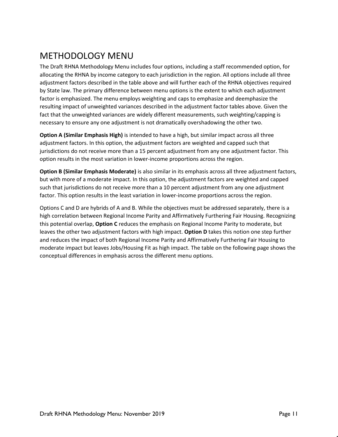# METHODOLOGY MENU

The Draft RHNA Methodology Menu includes four options, including a staff recommended option, for allocating the RHNA by income category to each jurisdiction in the region. All options include all three adjustment factors described in the table above and will further each of the RHNA objectives required by State law. The primary difference between menu options is the extent to which each adjustment factor is emphasized. The menu employs weighting and caps to emphasize and deemphasize the resulting impact of unweighted variances described in the adjustment factor tables above. Given the fact that the unweighted variances are widely different measurements, such weighting/capping is necessary to ensure any one adjustment is not dramatically overshadowing the other two.

**Option A (Similar Emphasis High)** is intended to have a high, but similar impact across all three adjustment factors. In this option, the adjustment factors are weighted and capped such that jurisdictions do not receive more than a 15 percent adjustment from any one adjustment factor. This option results in the most variation in lower-income proportions across the region.

**Option B (Similar Emphasis Moderate)** is also similar in its emphasis across all three adjustment factors, but with more of a moderate impact. In this option, the adjustment factors are weighted and capped such that jurisdictions do not receive more than a 10 percent adjustment from any one adjustment factor. This option results in the least variation in lower-income proportions across the region.

Options C and D are hybrids of A and B. While the objectives must be addressed separately, there is a high correlation between Regional Income Parity and Affirmatively Furthering Fair Housing. Recognizing this potential overlap, **Option C** reduces the emphasis on Regional Income Parity to moderate, but leaves the other two adjustment factors with high impact. **Option D** takes this notion one step further and reduces the impact of both Regional Income Parity and Affirmatively Furthering Fair Housing to moderate impact but leaves Jobs/Housing Fit as high impact. The table on the following page shows the conceptual differences in emphasis across the different menu options.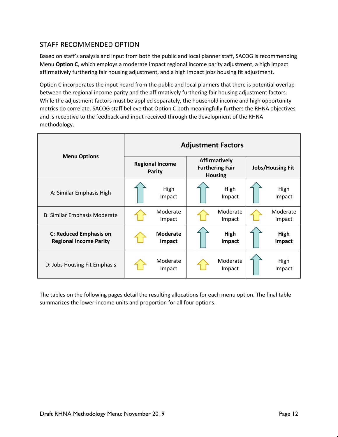### STAFF RECOMMENDED OPTION

Based on staff's analysis and input from both the public and local planner staff, SACOG is recommending Menu **Option C**, which employs a moderate impact regional income parity adjustment, a high impact affirmatively furthering fair housing adjustment, and a high impact jobs housing fit adjustment.

Option C incorporates the input heard from the public and local planners that there is potential overlap between the regional income parity and the affirmatively furthering fair housing adjustment factors. While the adjustment factors must be applied separately, the household income and high opportunity metrics do correlate. SACOG staff believe that Option C both meaningfully furthers the RHNA objectives and is receptive to the feedback and input received through the development of the RHNA methodology.

|                                                         | <b>Adjustment Factors</b> |                                         |  |                                                                  |                         |                    |  |  |  |  |  |
|---------------------------------------------------------|---------------------------|-----------------------------------------|--|------------------------------------------------------------------|-------------------------|--------------------|--|--|--|--|--|
| <b>Menu Options</b>                                     |                           | <b>Regional Income</b><br><b>Parity</b> |  | <b>Affirmatively</b><br><b>Furthering Fair</b><br><b>Housing</b> | <b>Jobs/Housing Fit</b> |                    |  |  |  |  |  |
| A: Similar Emphasis High                                |                           | High<br>Impact                          |  | High<br>Impact                                                   |                         | High<br>Impact     |  |  |  |  |  |
| B: Similar Emphasis Moderate                            |                           | Moderate<br>Impact                      |  | Moderate<br>Impact                                               |                         | Moderate<br>Impact |  |  |  |  |  |
| C: Reduced Emphasis on<br><b>Regional Income Parity</b> |                           | <b>Moderate</b><br>Impact               |  | High<br>Impact                                                   |                         | High<br>Impact     |  |  |  |  |  |
| D: Jobs Housing Fit Emphasis                            |                           | Moderate<br>Impact                      |  | Moderate<br>Impact                                               |                         | High<br>Impact     |  |  |  |  |  |

The tables on the following pages detail the resulting allocations for each menu option. The final table summarizes the lower-income units and proportion for all four options.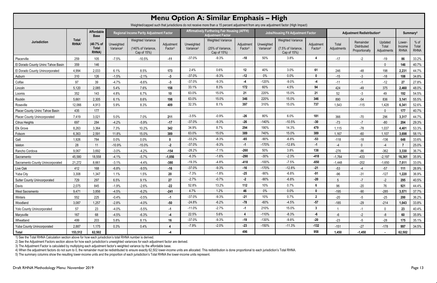|                                                                                                                                       | Menu Option A: Similar Emphasis - High |                                    |                                     |                                                               |                                   |                                     |                                                                                                                              |                                   |                                     |                                                               |                                   |                      |                                            |                                 |                                 |                                |
|---------------------------------------------------------------------------------------------------------------------------------------|----------------------------------------|------------------------------------|-------------------------------------|---------------------------------------------------------------|-----------------------------------|-------------------------------------|------------------------------------------------------------------------------------------------------------------------------|-----------------------------------|-------------------------------------|---------------------------------------------------------------|-----------------------------------|----------------------|--------------------------------------------|---------------------------------|---------------------------------|--------------------------------|
| Weighted/capped such that jurisdictions do not receive more than a 15 percent adjustment from any one adjustment factor (High Impact) |                                        |                                    |                                     |                                                               |                                   |                                     |                                                                                                                              |                                   |                                     |                                                               |                                   |                      |                                            |                                 |                                 |                                |
|                                                                                                                                       |                                        | Affordable<br><b>Base</b>          |                                     | <b>Regional Income Parity Adjustment Factor</b>               |                                   |                                     | <b>Affirmatively Furthering Fair Housing (AFFH)</b><br><b>Jobs/Housing Fit Adjustment Factor</b><br><b>Adjustment Factor</b> |                                   |                                     |                                                               |                                   |                      | Adjustment Redistribution <sup>4</sup>     |                                 |                                 |                                |
| Jurisdiction                                                                                                                          | <b>Total</b><br><b>RHNA</b>            | (40.7% of<br><b>Total</b><br>RHNA) | Unweighted<br>Variance <sup>2</sup> | <b>Weighted Variance</b><br>(140% of Variance,<br>Cap of 15%) | Adjustment<br>Factor <sup>3</sup> | Unweighted<br>Variance <sup>2</sup> | <b>Weighted Variance</b><br>(25% of Variance,<br>Cap of 15%)                                                                 | Adjustment<br>Factor <sup>3</sup> | Unweighted<br>Variance <sup>2</sup> | <b>Weighted Variance</b><br>(7.5% of Variance,<br>Cap of 15%) | Adjustment<br>Factor <sup>3</sup> | Total<br>Adjustments | Remainder<br>Distributed<br>Proportionally | Updated<br>Total<br>Adjustments | Lower-<br>Income<br><b>RHNA</b> | $%$ of<br>Total<br><b>RHNA</b> |
| Placerville                                                                                                                           | 259                                    | 105                                | $-7.5%$                             | $-10.5%$                                                      | $-11$                             | $-37.0%$                            | $-9.3%$                                                                                                                      | $-10$                             | 50%                                 | 3.8%                                                          |                                   | $-17$                | $-2$                                       | $-19$                           | 86                              | 33.2%                          |
| El Dorado County Uninc Tahoe Basin                                                                                                    | 359                                    | 146                                |                                     |                                                               |                                   |                                     |                                                                                                                              |                                   |                                     |                                                               |                                   |                      |                                            |                                 | 146                             | 40.7%                          |
| El Dorado County Unincorporated                                                                                                       | 4,994                                  | 2,033                              | 6.1%                                | 8.5%                                                          | 173                               | 2.4%                                | 0.6%                                                                                                                         | 12 <sub>2</sub>                   | 40%                                 | 3.0%                                                          | 61                                | 246                  | -48                                        | 198                             | 2,231                           | 44.7%                          |
| Auburn                                                                                                                                | 310                                    | 126                                | $-1.5%$                             | $-2.1%$                                                       | $-3$                              | $-37.0%$                            | $-9.3%$                                                                                                                      | $-12$                             | $0\%$                               | 0.0%                                                          | $\mathbf{0}$                      | $-15$                | $-3$                                       | $-18$                           | 108                             | 34.8%                          |
| Colfax                                                                                                                                | 97                                     | 39                                 | $-4.7%$                             | $-6.6%$                                                       | $-3$                              | $-37.0%$                            | $-9.3%$                                                                                                                      | $-4$                              | $-120%$                             | $-9.0%$                                                       | $-4$                              | $-11$                | $-1$                                       | $-12$                           | 27                              | 27.8%                          |
| Lincoln                                                                                                                               | 5,120                                  | 2,085                              | 5.4%                                | 7.6%                                                          | 158                               | 33.1%                               | 8.3%                                                                                                                         | 172                               | 60%                                 | 4.5%                                                          | 94                                | 424                  | $-49$                                      | 375                             | 2,460                           | 48.0%                          |
| Loomis                                                                                                                                | 352                                    | 143                                | 4.8%                                | 6.7%                                                          | 10                                | 63.0%                               | 15.0%                                                                                                                        | 21                                | 220%                                | 15.0%                                                         | 21                                | 52                   | $-3$                                       | 49                              | 192                             | 54.5%                          |
| Rocklin                                                                                                                               | 5,661                                  | 2,305                              | 6.1%                                | 8.6%                                                          | 198                               | 63.0%                               | 15.0%                                                                                                                        | 346                               | 220%                                | 15.0%                                                         | 346                               | 890                  | $-54$                                      | 836                             | 3,141                           | 55.5%                          |
| Roseville                                                                                                                             | 12,066                                 | 4,913                              | 5.9%                                | 8.3%                                                          | 409                               | 32.3%                               | 8.1%                                                                                                                         | 397                               | 310%                                | 15.0%                                                         | 737                               | 1,543                | $-115$                                     | 1,428                           | 6,341                           | 52.6%                          |
| Placer County Uninc Tahoe Basin                                                                                                       | 435                                    | 177                                |                                     |                                                               |                                   |                                     |                                                                                                                              |                                   |                                     |                                                               |                                   |                      |                                            |                                 | 177                             | 40.7%                          |
| <b>Placer County Unincorporated</b>                                                                                                   | 7,419                                  | 3,021                              | 5.0%                                | 7.0%                                                          | 211                               | $-3.5%$                             | $-0.9%$                                                                                                                      | $-26$                             | 80%                                 | 6.0%                                                          | 181                               | 366                  | $-70$                                      | 296                             | 3,317                           | 44.7%                          |
| <b>Citrus Heights</b>                                                                                                                 | 697                                    | 284                                | $-4.2%$                             | $-5.9%$                                                       | $-17$                             | $-37.0%$                            | $-9.3%$                                                                                                                      | $-26$                             | $-140%$                             | $-10.5%$                                                      | $-30$                             | $-73$                | $-7$                                       | $-80$                           | 204                             | 29.3%                          |
| Elk Grove                                                                                                                             | 8,263                                  | 3,364                              | 7.3%                                | 10.2%                                                         | 342                               | 34.9%                               | 8.7%                                                                                                                         | 294                               | 190%                                | 14.3%                                                         | 479                               | 1,115                | $-78$                                      | 1,037                           | 4,401                           | 53.3%                          |
| Folsom                                                                                                                                | 6,363                                  | 2,591                              | 11.8%                               | 15.0%                                                         | 389                               | 63.0%                               | 15.0%                                                                                                                        | 389                               | 740%                                | 15.0%                                                         | 389                               | 1,167                | $-60$                                      | 1,107                           | 3,698                           | 58.1%                          |
| Galt                                                                                                                                  | 1,926                                  | 784                                | 0.0%                                | 0.0%                                                          | $\bf{0}$                          | $-33.2%$                            | $-8.3%$                                                                                                                      | $-65$                             | $-90%$                              | $-6.8%$                                                       | $-53$                             | $-118$               | $-18$                                      | $-136$                          | 648                             | 33.6%                          |
| Isleton                                                                                                                               | 28                                     | 11                                 | $-10.9%$                            | $-15.0%$                                                      | $-2$                              | $-37.0%$                            | $-9.3%$                                                                                                                      | $-1$                              | $-170%$                             | $-12.8%$                                                      | $-1$                              | $-4$                 | $\bigcap$                                  |                                 |                                 | 25.0%                          |
| Rancho Cordova                                                                                                                        | 9,067                                  | 3,692                              | $-3.0%$                             | $-4.2%$                                                       | $-154$                            | $-28.2%$                            | $-7.1%$                                                                                                                      | $-260$                            | 50%                                 | 3.8%                                                          | 138                               | $-276$               | $-86$                                      | $-362$                          | 3,330                           | 36.7%                          |
| Sacramento                                                                                                                            | 45,580                                 | 18,558                             | $-4.1%$                             | $-5.7%$                                                       | $-1,056$                          | $-6.3%$                             | $-1.6%$                                                                                                                      | $-290$                            | $-30%$                              | $-2.3%$                                                       | $-418$                            | $-1,764$             | $-433$                                     | $-2,197$                        | 16,361                          | 35.9%                          |
| Sacramento County Unincorporated                                                                                                      | 21,272                                 | 8,661                              | $-3.1%$                             | $-4.4%$                                                       | $-380$                            | $-19.3%$                            | $-4.8%$                                                                                                                      | $-418$                            | $-100%$                             | $-7.5%$                                                       | $-650$                            | $-1,448$             | $-202$                                     | $-1,650$                        | 7,011                           | 33.0%                          |
| Live Oak                                                                                                                              | 412                                    | 168                                | $-6.8%$                             | $-9.5%$                                                       | $-16$                             | $-37.0%$                            | $-9.3%$                                                                                                                      | $-16$                             | $-170%$                             | $-12.8%$                                                      | -21                               | $-53$                |                                            | $-57$                           | 111                             | 26.9%                          |
| Yuba City                                                                                                                             | 3,308                                  | 1,347                              | 1.1%                                | 1.5%                                                          | ${\bf 20}$                        | $-7.3%$                             | $-1.8%$                                                                                                                      | -25                               | -90%                                | $-6.8%$                                                       | $-91$                             | $-96$                | $-31$                                      | $-127$                          | 1,220                           | 36.9%                          |
| <b>Sutter County Unincorporated</b>                                                                                                   | 729                                    | 297                                | 6.5%                                | 9.1%                                                          | 27                                | $-2.7%$                             | $-0.7%$                                                                                                                      | $-2$                              | $-90%$                              | $-6.8%$                                                       | $-20$                             | 5                    | $-7$                                       | $-2$                            | 295                             | 40.5%                          |
| Davis                                                                                                                                 | 2,075                                  | 845                                | $-1.9%$                             | $-2.6%$                                                       | $-22$                             | 52.8%                               | 13.2%                                                                                                                        | 112                               | 10%                                 | 0.7%                                                          | 6                                 | 96                   | $-20$                                      | 76                              | 921                             | 44.4%                          |
| <b>West Sacramento</b>                                                                                                                | 9,471                                  | 3,856                              | $-4.5%$                             | $-6.2%$                                                       | $-241$                            | 4.7%                                | 1.2%                                                                                                                         | 46                                | $0\%$                               | 0.0%                                                          | $\mathbf{0}$                      | $-195$               | $-90$                                      | $-285$                          | 3,571                           | 37.7%                          |
| Winters                                                                                                                               | 552                                    | 225                                | $-0.4%$                             | $-0.5%$                                                       | $-1$                              | $-37.0\%$                           | $-9.3%$                                                                                                                      | $-21$                             | 10%                                 | 0.7%                                                          | $\mathbf{2}$                      | $-20$                | $-5$                                       | $-25$                           | 200                             | 36.2%                          |
| Woodland                                                                                                                              | 3,087                                  | 1,257                              | $-2.8%$                             | $-4.0%$                                                       | $-50$                             | $-24.8%$                            | $-6.2%$                                                                                                                      | $-78$                             | $-60%$                              | $-4.5%$                                                       | $-57$                             | $-185$               | $-29$                                      | $-214$                          | 1,043                           | 33.8%                          |
| Yolo County Unincorporated                                                                                                            | 57                                     | 23                                 | $-4.0\%$                            | $-5.5%$                                                       | $-1$                              | $-11.0%$                            | $-2.7%$                                                                                                                      | $-1$                              | 210%                                | 15.0%                                                         | 3 <sup>1</sup>                    |                      | -1                                         | $\Omega$                        | 23                              | 40.4%                          |
| Marysville                                                                                                                            | 167                                    | 68                                 | $-4.5%$                             | $-6.3%$                                                       | $-4$                              | 22.5%                               | 5.6%                                                                                                                         | $\overline{4}$                    | $-110%$                             | $-8.3%$                                                       | -6                                | -6                   | $-2$                                       | -8                              | 60                              | 35.9%                          |
| Wheatland                                                                                                                             | 499                                    | 203                                | 5.8%                                | 8.1%                                                          | 16                                | $-37.0\%$                           | $-9.3%$                                                                                                                      | -19                               | $-130%$                             | $-9.8%$                                                       | $-20$                             | $-23$                | $-5$                                       | $-28$                           | 175                             | 35.1%                          |
| Yuba County Unincorporated                                                                                                            | 2,887                                  | 1,175                              | 0.3%                                | 0.4%                                                          |                                   | $-7.9%$                             | $-2.0%$                                                                                                                      | $-23$                             | $-150%$                             | $-11.3%$                                                      | $-132$                            | $-151$               | $-27$                                      | $-178$                          | 997                             | 34.5%                          |
| Total                                                                                                                                 | 153,512                                | 62,502                             |                                     |                                                               | $-4$                              |                                     |                                                                                                                              | 496                               |                                     |                                                               | 958                               | 1,450                | $-1,450$                                   |                                 | 62,502                          |                                |

2) See the Adjustment Factors section above for how each jurisdiction's unweighted variances for each adjustment factor are derived.

3) The Adjustment Factor is calculated by multiplying each adjustment factor's weighted variance by the affordable base.

4) When the adjustment factors do not sum to 0, the remainder must be redistributed to ensure exactly 62,502 lower-income units are allocated. This redistribution is done proportional to each jurisdiction's Total RHNA.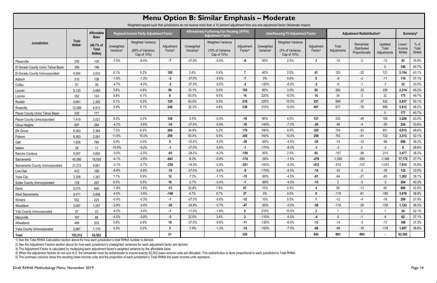|                                     |                            |                                    |                                            | Weighted/capped such that jurisdictions do not receive more than a 10 percent adjustment from any one adjustment factor (Moderate Impact) |                                   |                                     | Menu Option B: Similar Emphasis - Moderate                                      |                                   |                                     |                                                             |                                   |                      |                                            |                                 |                                 |                                |
|-------------------------------------|----------------------------|------------------------------------|--------------------------------------------|-------------------------------------------------------------------------------------------------------------------------------------------|-----------------------------------|-------------------------------------|---------------------------------------------------------------------------------|-----------------------------------|-------------------------------------|-------------------------------------------------------------|-----------------------------------|----------------------|--------------------------------------------|---------------------------------|---------------------------------|--------------------------------|
|                                     |                            | Affordable<br><b>Base</b>          |                                            | <b>Regional Income Parity Adjustment Factor</b>                                                                                           |                                   |                                     | <b>Affirmatively Furthering Fair Housing (AFFH)</b><br><b>Adjustment Factor</b> |                                   |                                     | <b>Jobs/Housing Fit Adjustment Factor</b>                   |                                   |                      | Adjustment Redistribution <sup>4</sup>     |                                 |                                 | Summary <sup>5</sup>           |
| Jurisdiction                        | Total<br>RHNA <sup>1</sup> | (40.7% of<br><b>Total</b><br>RHNA) | <b>Unweighted</b><br>Variance <sup>2</sup> | <b>Weighted Variance</b><br>(85% of Variance,<br>Cap of 10%)                                                                              | Adjustment<br>Factor <sup>3</sup> | Unweighted<br>Variance <sup>2</sup> | <b>Weighted Variance</b><br>(15% of Variance,<br>Cap of 10%)                    | Adjustment<br>Factor <sup>3</sup> | Unweighted<br>Variance <sup>2</sup> | <b>Weighted Variance</b><br>(5% of Variance,<br>Cap of 10%) | Adjustment<br>Factor <sup>3</sup> | Total<br>Adjustments | Remainder<br>Distributed<br>Proportionally | Updated<br>Total<br>Adjustments | Lower-<br>Income<br><b>RHNA</b> | $%$ of<br>Total<br><b>RHNA</b> |
| Placerville                         | 259                        | 105                                | $-7.5%$                                    | $-6.4%$                                                                                                                                   | $-7$                              | $-37.0%$                            | $-5.6%$                                                                         | -6                                | 50%                                 | 2.5%                                                        | 3                                 | -10                  | $-2$                                       | $-12$                           | 93                              | 35.9%                          |
| El Dorado County Uninc Tahoe Basin  | 359                        | 146                                |                                            |                                                                                                                                           |                                   |                                     |                                                                                 |                                   |                                     |                                                             |                                   |                      |                                            | $\Omega$                        | 146                             | 40.7%                          |
| El Dorado County Unincorporated     | 4,994                      | 2,033                              | 6.1%                                       | 5.2%                                                                                                                                      | 105                               | 2.4%                                | 0.4%                                                                            | $\overline{7}$                    | 40%                                 | 2.0%                                                        | 41                                | 153                  | $-32$                                      | 121                             | 2,154                           | 43.1%                          |
| Auburn                              | 310                        | 126                                | $-1.5%$                                    | $-1.3%$                                                                                                                                   | $-2$                              | $-37.0%$                            | $-5.6%$                                                                         | $-7$                              | $0\%$                               | 0.0%                                                        | $\mathbf{0}$                      | -9                   | $-2$                                       | $-11$                           | 115                             | 37.1%                          |
| Colfax                              | 97                         | 39                                 | $-4.7%$                                    | $-4.0%$                                                                                                                                   | $-2$                              | $-37.0%$                            | $-5.6%$                                                                         | $-2$                              | $-120%$                             | $-6.0%$                                                     | $-2$                              | $-6$                 | $-1$                                       | $-7$                            | 32 <sub>2</sub>                 | 33.0%                          |
| Lincoln                             | 5,120                      | 2,085                              | 5.4%                                       | 4.6%                                                                                                                                      | 96                                | 33.1%                               | 5.0%                                                                            | 103                               | 60%                                 | 3.0%                                                        | 63                                | 262                  | $-33$                                      | 229                             | 2,314                           | 45.2%                          |
| Loomis                              | 352                        | 143                                | 4.8%                                       | 4.1%                                                                                                                                      | 6                                 | 63.0%                               | 9.5%                                                                            | 14                                | 220%                                | 10.0%                                                       | 14                                | 34                   | $-2$                                       | 32                              | 175                             | 49.7%                          |
| Rocklin                             | 5,661                      | 2,305                              | 6.1%                                       | 5.2%                                                                                                                                      | 120                               | 63.0%                               | 9.5%                                                                            | 218                               | 220%                                | 10.0%                                                       | 231                               | 569                  | $-37$                                      | 532                             | 2,837                           | 50.1%                          |
| Roseville                           | 12,066                     | 4,913                              | 5.9%                                       | 5.1%                                                                                                                                      | 248                               | 32.3%                               | 4.8%                                                                            | 238                               | 310%                                | 10.0%                                                       | 491                               | 977                  | $-78$                                      | 899                             | 5,812                           | 48.2%                          |
| Placer County Uninc Tahoe Basin     | 435                        | 177                                |                                            |                                                                                                                                           |                                   |                                     |                                                                                 |                                   |                                     |                                                             |                                   |                      |                                            | $\Omega$                        | 177                             | 40.7%                          |
| <b>Placer County Unincorporated</b> | 7,419                      | 3,021                              | 5.0%                                       | 4.2%                                                                                                                                      | 128                               | $-3.5%$                             | $-0.5%$                                                                         | -16                               | 80%                                 | 4.0%                                                        | 121                               | 233                  | -48                                        | 185                             | 3,206                           | 43.2%                          |
| <b>Citrus Heights</b>               | 697                        | 284                                | $-4.2%$                                    | $-3.6%$                                                                                                                                   | $-10$                             | $-37.0%$                            | $-5.6%$                                                                         | $-16$                             | $-140%$                             | $-7.0%$                                                     | $-20$                             | $-46$                | $-4$                                       | $-50$                           | 234                             | 33.6%                          |
| Elk Grove                           | 8,263                      | 3,364                              | 7.3%                                       | 6.2%                                                                                                                                      | 208                               | 34.9%                               | 5.2%                                                                            | 176                               | 190%                                | 9.5%                                                        | 320                               | 704                  | $-53$                                      | 651                             | 4,015                           | 48.6%                          |
| Folsom                              | 6,363                      | 2,591                              | 11.8%                                      | 10.0%                                                                                                                                     | 259                               | 63.0%                               | 9.5%                                                                            | 245                               | 740%                                | 10.0%                                                       | 259                               | 763                  | -41                                        | 722                             | 3,313                           | 52.1%                          |
| Galt                                | 1,926                      | 784                                | 0.0%                                       | 0.0%                                                                                                                                      | $\boldsymbol{0}$                  | $-33.2%$                            | $-5.0%$                                                                         | $-39$                             | $-90%$                              | $-4.5%$                                                     | $-35$                             | $-74$                | $-12$                                      | $-86$                           | 698                             | 36.2%                          |
| Isleton                             | 28                         | 11                                 | $-10.9%$                                   | $-9.2%$                                                                                                                                   | $-1$                              | $-37.0%$                            | $-5.6%$                                                                         | $-1$                              | $-170%$                             | $-8.5%$                                                     | $-1$                              | $-3$                 | $\mathbf{0}$                               | $-3$                            |                                 | 28.6%                          |
| Rancho Cordova                      | 9,067                      | 3,692                              | $-3.0%$                                    | $-2.5%$                                                                                                                                   | $-93$                             | $-28.2%$                            | $-4.2%$                                                                         | $-156$                            | 50%                                 | 2.5%                                                        | 92                                | $-157$               | $-58$                                      | $-215$                          | 3,477                           | 38.3%                          |
| Sacramento                          | 45,580                     | 18,558                             | $-4.1%$                                    | $-3.5%$                                                                                                                                   | $-641$                            | $-6.3%$                             | $-0.9%$                                                                         | $-174$                            | $-30%$                              | $-1.5%$                                                     | $-278$                            | $-1,093$             | $-293$                                     | $-1,386$                        | 17,172                          | 37.7%                          |
| Sacramento County Unincorporated    | 21,272                     | 8,661                              | $-3.1%$                                    | $-2.7%$                                                                                                                                   | $-230$                            | $-19.3%$                            | $-2.9%$                                                                         | $-251$                            | $-100%$                             | $-5.0%$                                                     | $-433$                            | $-914$               | $-137$                                     | $-1,051$                        | 7,610                           | 35.8%                          |
| Live Oak                            | 412                        | 168                                | $-6.8%$                                    | $-5.8%$                                                                                                                                   | $-10$                             | $-37.0%$                            | $-5.6%$                                                                         | -9                                | $-170%$                             | $-8.5%$                                                     | $-14$                             | $-33$                | $-3$                                       | $-36$                           | 132                             | 32.0%                          |
| <b>Yuba City</b>                    | 3,308                      | 1,347                              | $1.1\%$                                    | 0.9%                                                                                                                                      | 12                                | $-7.3\%$                            | $-1.1\%$                                                                        | $-15$                             | -90%                                | $-4.5\%$                                                    | -61                               | -64                  | $-21$                                      | $-85$                           | 1,262                           | 38.1%                          |
| Sutter County Unincorporated        | 729                        | 297                                | 6.5%                                       | 5.5%                                                                                                                                      | 16                                | $-2.7%$                             | $-0.4%$                                                                         | $-1$                              | $-90%$                              | $-4.5%$                                                     | $-13$                             | $2^{\circ}$          | $-5$                                       | $-3$                            | 294                             | 40.3%                          |
| Davis                               | 2,075                      | 845                                | $-1.9%$                                    | $-1.6%$                                                                                                                                   | $-13$                             | 52.8%                               | 7.9%                                                                            | 67                                | 10%                                 | 0.5%                                                        | 4                                 | 58                   | $-13$                                      | 45                              | 890                             | 42.9%                          |
| West Sacramento                     | 9,471                      | 3,856                              | $-4.5%$                                    | $-3.8%$                                                                                                                                   | $-146$                            | 4.7%                                | 0.7%                                                                            | 27                                | $0\%$                               | 0.0%                                                        | $\mathbf{0}$                      | $-119$               | $-61$                                      | $-180$                          | 3,676                           | 38.8%                          |
| Winters                             | 552                        | 225                                | $-0.4%$                                    | $-0.3%$                                                                                                                                   | $-1$                              | $-37.0%$                            | $-5.6%$                                                                         | $-12$                             | 10%                                 | 0.5%                                                        |                                   | $-12$                | $-4$                                       | $-16$                           | 209                             | 37.9%                          |
| Woodland                            | 3,087                      | 1,257                              | $-2.8%$                                    | $-2.4%$                                                                                                                                   | $-30$                             | $-24.8%$                            | $-3.7%$                                                                         | $-47$                             | $-60%$                              | $-3.0%$                                                     | $-38$                             | $-115$               | $-20$                                      | $-135$                          | 1,122                           | 36.3%                          |
| <b>Yolo County Unincorporated</b>   | 57                         | 23                                 | $-4.0%$                                    | $-3.4%$                                                                                                                                   | $-1$                              | $-11.0\%$                           | $-1.6%$                                                                         | $\mathbf 0$                       | 210%                                | 10.0%                                                       | $2^{\circ}$                       |                      | $\mathbf 0$                                |                                 | 24                              | 42.1%                          |
| Marysville                          | 167                        | 68                                 | $-4.5%$                                    | $-3.8%$                                                                                                                                   | $-3$                              | 22.5%                               | 3.4%                                                                            | $\overline{2}$                    | $-110%$                             | $-5.5%$                                                     | -4                                | $-5$                 | $-1$                                       | -6                              | 62                              | 37.1%                          |
| Wheatland                           | 499                        | 203                                | 5.8%                                       | 4.9%                                                                                                                                      | 10                                | $-37.0%$                            | $-5.6%$                                                                         | $-11$                             | $-130%$                             | $-6.5%$                                                     | $-13$                             | $-14$                | $-3$                                       | $-17$                           | 186                             | 37.3%                          |
| Yuba County Unincorporated          | 2,887                      | 1,175                              | 0.3%                                       | 0.2%                                                                                                                                      | 3                                 | $-7.9%$                             | $-1.2%$                                                                         | $-14$                             | $-150%$                             | $-7.5%$                                                     | $-88$                             | $-99$                | $-19$                                      | $-118$                          | 1,057                           | 36.6%                          |
| Total                               | 153,512                    | 62,502                             |                                            |                                                                                                                                           | 21                                |                                     |                                                                                 | 320                               |                                     |                                                             | 642                               | 983                  | $-983$                                     |                                 | 62,502                          |                                |

2) See the Adjustment Factors section above for how each jurisdiction's unweighted variances for each adjustment factor are derived.

3) The Adjustment Factor is calculated by multiplying each adjustment factor's weighted variance by the affordable base.

4) When the adjustment factors do not sum to 0, the remainder must be redistributed to ensure exactly 62,502 lower-income units are allocated. This redistribution is done proportional to each jurisdiction's Total RHNA.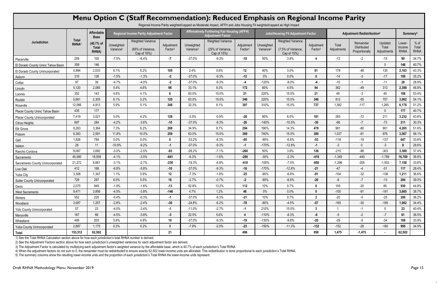|                                     |                             |                                            |                                     | Menu Option C (Staff Recommendation): Reduced Emphasis on Regional Income Parity |                                   |                                     | Regional Income Parity weighted/capped as Moderate Impact, AFFH and Jobs Housing Fit weighted/capped as High Impact |                                   |                                     |                                                               |                                   |                                        |                                            |                                 |                                 |                                |
|-------------------------------------|-----------------------------|--------------------------------------------|-------------------------------------|----------------------------------------------------------------------------------|-----------------------------------|-------------------------------------|---------------------------------------------------------------------------------------------------------------------|-----------------------------------|-------------------------------------|---------------------------------------------------------------|-----------------------------------|----------------------------------------|--------------------------------------------|---------------------------------|---------------------------------|--------------------------------|
|                                     |                             | Affordable<br><b>Base</b>                  |                                     | <b>Regional Income Parity Adjustment Factor</b>                                  |                                   |                                     | <b>Affirmatively Furthering Fair Housing (AFFH)</b><br><b>Adjustment Factor</b>                                     |                                   |                                     | <b>Jobs/Housing Fit Adjustment Factor</b>                     |                                   | Adjustment Redistribution <sup>4</sup> |                                            |                                 | Summary <sup>5</sup>            |                                |
| Jurisdiction                        | <b>Total</b><br><b>RHNA</b> | (40.7% of<br><b>Total</b><br><b>RHNA</b> ) | Unweighted<br>Variance <sup>2</sup> | <b>Weighted Variance</b><br>(85% of Variance,<br>Cap of 10%)                     | Adjustment<br>Factor <sup>3</sup> | Unweighted<br>Variance <sup>2</sup> | <b>Weighted Variance</b><br>(25% of Variance,<br>Cap of 15%)                                                        | Adjustment<br>Factor <sup>3</sup> | Unweighted<br>Variance <sup>2</sup> | <b>Weighted Variance</b><br>(7.5% of Variance,<br>Cap of 15%) | Adjustment<br>Factor <sup>3</sup> | Total<br>Adjustments                   | Remainder<br>Distributed<br>Proportionally | Updated<br>Total<br>Adjustments | Lower-<br>Income<br><b>RHNA</b> | $%$ of<br>Total<br><b>RHNA</b> |
| Placerville                         | 259                         | 105                                        | $-7.5%$                             | $-6.4%$                                                                          | $-7$                              | $-37.0%$                            | $-9.3%$                                                                                                             | $-10$                             | 50%                                 | 3.8%                                                          |                                   | $-13$                                  | $-2$                                       | $-15$                           | 90                              | 34.7%                          |
| El Dorado County Uninc Tahoe Basin  | 359                         | 146                                        |                                     |                                                                                  |                                   |                                     |                                                                                                                     |                                   |                                     |                                                               |                                   |                                        |                                            | $\Omega$                        | 146                             | 40.7%                          |
| El Dorado County Unincorporated     | 4,994                       | 2,033                                      | 6.1%                                | 5.2%                                                                             | 105                               | 2.4%                                | 0.6%                                                                                                                | 12                                | 40%                                 | 3.0%                                                          | 61                                | 178                                    | -48                                        | 130                             | 2,163                           | 43.3%                          |
| Auburn                              | 310                         | 126                                        | $-1.5%$                             | $-1.3%$                                                                          | $-2$                              | $-37.0%$                            | $-9.3%$                                                                                                             | $-12$                             | $0\%$                               | 0.0%                                                          | $\mathbf{0}$                      | $-14$                                  | $-3$                                       | $-17$                           | 109                             | 35.2%                          |
| Colfax                              | 97                          | 39                                         | $-4.7%$                             | $-4.0%$                                                                          | $-2$                              | $-37.0%$                            | $-9.3%$                                                                                                             | $-4$                              | $-120%$                             | $-9.0%$                                                       | $-4$                              | $-10$                                  | $-1$                                       | $-11$                           | 28                              | 28.9%                          |
| Lincoln                             | 5,120                       | 2,085                                      | 5.4%                                | 4.6%                                                                             | 96                                | 33.1%                               | 8.3%                                                                                                                | 172                               | 60%                                 | 4.5%                                                          | 94                                | 362                                    | $-49$                                      | 313                             | 2,398                           | 46.8%                          |
| Loomis                              | 352                         | 143                                        | 4.8%                                | 4.1%                                                                             | 6                                 | 63.0%                               | 15.0%                                                                                                               | 21                                | 220%                                | 15.0%                                                         | 21                                | 48                                     | $-3$                                       | 45                              | 188                             | 53.4%                          |
| Rocklin                             | 5,661                       | 2,305                                      | 6.1%                                | 5.2%                                                                             | 120                               | 63.0%                               | 15.0%                                                                                                               | 346                               | 220%                                | 15.0%                                                         | 346                               | 812                                    | $-55$                                      | 757                             | 3,062                           | 54.1%                          |
| Roseville                           | 12,066                      | 4,913                                      | 5.9%                                | 5.1%                                                                             | 248                               | 32.3%                               | 8.1%                                                                                                                | 397                               | 310%                                | 15.0%                                                         | 737                               | 1,382                                  | $-117$                                     | 1,265                           | 6,178                           | 51.2%                          |
| Placer County Uninc Tahoe Basin     | 435                         | 177                                        |                                     |                                                                                  |                                   |                                     |                                                                                                                     |                                   |                                     |                                                               |                                   |                                        |                                            | $\cup$                          | 177                             | 40.7%                          |
| <b>Placer County Unincorporated</b> | 7,419                       | 3,021                                      | 5.0%                                | 4.2%                                                                             | 128                               | $-3.5%$                             | $-0.9%$                                                                                                             | $-26$                             | 80%                                 | 6.0%                                                          | 181                               | 283                                    | $-72$                                      | 211                             | 3,232                           | 43.6%                          |
| <b>Citrus Heights</b>               | 697                         | 284                                        | $-4.2%$                             | $-3.6%$                                                                          | $-10$                             | $-37.0%$                            | $-9.3%$                                                                                                             | $-26$                             | $-140%$                             | $-10.5%$                                                      | $-30$                             | $-66$                                  | $-7$                                       | $-73$                           | 211                             | 30.3%                          |
| <b>Elk Grove</b>                    | 8,263                       | 3,364                                      | 7.3%                                | 6.2%                                                                             | 208                               | 34.9%                               | 8.7%                                                                                                                | 294                               | 190%                                | 14.3%                                                         | 479                               | 981                                    | $-80$                                      | 901                             | 4,265                           | 51.6%                          |
| Folsom                              | 6,363                       | 2,591                                      | 11.8%                               | 10.0%                                                                            | 259                               | 63.0%                               | 15.0%                                                                                                               | 389                               | 740%                                | 15.0%                                                         | 389                               | 1,037                                  | $-61$                                      | 976                             | 3,567                           | 56.1%                          |
| Galt                                | 1,926                       | 784                                        | $0.0\%$                             | 0.0%                                                                             | $\mathbf{0}$                      | $-33.2%$                            | $-8.3%$                                                                                                             | -65                               | $-90%$                              | $-6.8%$                                                       | $-53$                             | $-118$                                 | $-19$                                      | $-137$                          | 647                             | 33.6%                          |
| Isleton                             | 28                          | 11                                         | $-10.9%$                            | $-9.2%$                                                                          | $-1$                              | $-37.0%$                            | $-9.3%$                                                                                                             | $-1$                              | $-170%$                             | $-12.8%$                                                      | $-1$                              | $-3$                                   | $\Omega$                                   | $-3$                            |                                 | 28.6%                          |
| Rancho Cordova                      | 9,067                       | 3,692                                      | $-3.0%$                             | $-2.5%$                                                                          | $-93$                             | $-28.2%$                            | $-7.1%$                                                                                                             | $-260$                            | 50%                                 | 3.8%                                                          | 138                               | $-215$                                 | $-88$                                      | $-303$                          | 3,389                           | 37.4%                          |
| Sacramento                          | 45,580                      | 18,558                                     | $-4.1%$                             | $-3.5%$                                                                          | $-641$                            | $-6.3%$                             | $-1.6%$                                                                                                             | $-290$                            | $-30%$                              | $-2.3%$                                                       | $-418$                            | $-1,349$                               | $-440$                                     | $-1,789$                        | 16,769                          | 36.8%                          |
| Sacramento County Unincorporated    | 21,272                      | 8,661                                      | $-3.1%$                             | $-2.7%$                                                                          | $-230$                            | $-19.3%$                            | $-4.8%$                                                                                                             | $-418$                            | $-100%$                             | $-7.5%$                                                       | $-650$                            | $-1,298$                               | $-205$                                     | $-1,503$                        | 7,158                           | 33.6%                          |
| Live Oak                            | 412                         | 168                                        | $-6.8%$                             | $-5.8%$                                                                          | $-10$                             | $-37.0%$                            | $-9.3%$                                                                                                             | $-16$                             | $-170%$                             | $-12.8%$                                                      | $-21$                             | $-47$                                  | $-4$                                       | $-51$                           | 117                             | 28.4%                          |
| Yuba City                           | 3,308                       | 1,347                                      | 1.1%                                | 0.9%                                                                             | 12                                | $-7.3%$                             | $-1.8%$                                                                                                             | -25                               | -90%                                | $-6.8%$                                                       | -91                               | $-104$                                 | $-32$                                      | $-136$                          | 1,211                           | 36.6%                          |
| Sutter County Unincorporated        | 729                         | 297                                        | 6.5%                                | 5.5%                                                                             | 16                                | $-2.7%$                             | $-0.7%$                                                                                                             | $-2$                              | -90%                                | $-6.8%$                                                       | $-20$                             | -6                                     | $-7$                                       | $-13$                           | 284                             | 39.0%                          |
| Davis                               | 2,075                       | 845                                        | $-1.9%$                             | $-1.6%$                                                                          | $-13$                             | 52.8%                               | 13.2%                                                                                                               | 112                               | 10%                                 | 0.7%                                                          | 6                                 | 105                                    | $-20$                                      | 85                              | 930                             | 44.8%                          |
| West Sacramento                     | 9,471                       | 3,856                                      | $-4.5%$                             | $-3.8%$                                                                          | $-146$                            | 4.7%                                | 1.2%                                                                                                                | 46                                | $0\%$                               | 0.0%                                                          | $\mathbf{0}$                      | $-100$                                 | $-91$                                      | $-191$                          | 3,665                           | 38.7%                          |
| Winters                             | 552                         | 225                                        | $-0.4%$                             | $-0.3%$                                                                          | $-1$                              | $-37.0%$                            | $-9.3%$                                                                                                             | -21                               | 10%                                 | 0.7%                                                          | $2^{\circ}$                       | $-20$                                  | $-5$                                       | $-25$                           | 200                             | 36.2%                          |
| Woodland                            | 3,087                       | 1,257                                      | $-2.8%$                             | $-2.4%$                                                                          | $-30$                             | $-24.8%$                            | $-6.2%$                                                                                                             | -78                               | $-60%$                              | $-4.5%$                                                       | $-57$                             | $-165$                                 | $-30$                                      | $-195$                          | 1,062                           | 34.4%                          |
| <b>Yolo County Unincorporated</b>   | 57                          | 23                                         | $-4.0%$                             | $-3.4%$                                                                          | $-1$                              | $-11.0%$                            | $-2.7%$                                                                                                             | $-1$                              | 210%                                | 15.0%                                                         | $3\phantom{a}$                    |                                        | $-1$                                       | $\mathbf 0$                     | 23                              | 40.4%                          |
| Marysville                          | 167                         | 68                                         | $-4.5%$                             | $-3.8%$                                                                          | $-3$                              | 22.5%                               | 5.6%                                                                                                                | $\overline{4}$                    | $-110%$                             | $-8.3%$                                                       | -6                                | $-5$                                   | $-2$                                       | $-7$                            | 61                              | 36.5%                          |
| Wheatland                           | 499                         | 203                                        | 5.8%                                | 4.9%                                                                             | 10                                | $-37.0%$                            | $-9.3%$                                                                                                             | $-19$                             | $-130%$                             | $-9.8%$                                                       | $-20$                             | $-29$                                  | $-5$                                       | $-34$                           | 169                             | 33.9%                          |
| <b>Yuba County Unincorporated</b>   | 2,887                       | 1,175                                      | 0.3%                                | 0.2%                                                                             | $\mathbf{3}$                      | $-7.9%$                             | $-2.0%$                                                                                                             | $-23$                             | $-150%$                             | $-11.3%$                                                      | $-132$                            | $-152$                                 | $-28$                                      | $-180$                          | 995                             | 34.5%                          |
| Total                               | 153,512                     | 62,502                                     |                                     |                                                                                  | 21                                |                                     |                                                                                                                     | 496                               |                                     |                                                               | 958                               | 1,475                                  | $-1,475$                                   |                                 | 62,502                          |                                |

2) See the Adjustment Factors section above for how each jurisdiction's unweighted variances for each adjustment factor are derived.

3) The Adjustment Factor is calculated by multiplying each adjustment factor's weighted variance by the affordable base, which is 40.7% of each jurisdiction's Total RHNA.

4) When the adjustment factors do not sum to 0, the remainder must be redistributed to ensure exactly 62,502 lower-income units are allocated. This redistribution is done proportional to each jurisdiction's Total RHNA.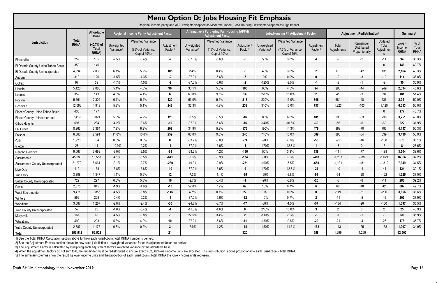|                                                                                                                                                               | <b>Menu Option D: Jobs Housing Fit Emphasis</b> |                                           |                                     |                                                              |                                   |                                     |                                                                                                                              |                                   |                                     |                                                               |                                   |                      |                                            |                                |                                 |                                |
|---------------------------------------------------------------------------------------------------------------------------------------------------------------|-------------------------------------------------|-------------------------------------------|-------------------------------------|--------------------------------------------------------------|-----------------------------------|-------------------------------------|------------------------------------------------------------------------------------------------------------------------------|-----------------------------------|-------------------------------------|---------------------------------------------------------------|-----------------------------------|----------------------|--------------------------------------------|--------------------------------|---------------------------------|--------------------------------|
| Regional income parity and AFFH weighted/capped as Moderate Impact, Jobs Housing Fit weighted/capped as High Impact<br>Adjustment Redistribution <sup>4</sup> |                                                 |                                           |                                     |                                                              |                                   |                                     |                                                                                                                              |                                   |                                     |                                                               |                                   |                      |                                            |                                |                                 |                                |
|                                                                                                                                                               |                                                 | Affordable<br><b>Base</b>                 |                                     | <b>Regional Income Parity Adjustment Factor</b>              |                                   |                                     | <b>Affirmatively Furthering Fair Housing (AFFH)</b><br><b>Jobs/Housing Fit Adjustment Factor</b><br><b>Adjustment Factor</b> |                                   |                                     |                                                               |                                   |                      | Summary <sup>5</sup>                       |                                |                                 |                                |
| Jurisdiction                                                                                                                                                  | <b>Total</b><br>RHNA <sup>1</sup>               | (40.7% of<br><b>Total</b><br><b>RHNA)</b> | Unweighted<br>Variance <sup>2</sup> | <b>Weighted Variance</b><br>(85% of Variance,<br>Cap of 10%) | Adjustment<br>Factor <sup>3</sup> | Unweighted<br>Variance <sup>2</sup> | <b>Weighted Variance</b><br>(15% of Variance,<br>Cap of 10%)                                                                 | Adjustment<br>Factor <sup>3</sup> | Unweighted<br>Variance <sup>2</sup> | <b>Weighted Variance</b><br>(7.5% of Variance,<br>Cap of 15%) | Adjustment<br>Factor <sup>3</sup> | Total<br>Adjustments | Remainder<br>Distributed<br>Proportionally | Updated<br>Total<br>Adjustment | Lower-<br>Income<br><b>RHNA</b> | $%$ of<br>Total<br><b>RHNA</b> |
| Placerville                                                                                                                                                   | 259                                             | 105                                       | $-7.5%$                             | $-6.4%$                                                      | $-7$                              | $-37.0%$                            | $-5.6%$                                                                                                                      | -6                                | 50%                                 | 3.8%                                                          | 4                                 | -9                   | $-2$                                       | $-11$                          | 94                              | 36.3%                          |
| El Dorado County Uninc Tahoe Basin                                                                                                                            | 359                                             | 146                                       |                                     |                                                              |                                   |                                     |                                                                                                                              |                                   |                                     |                                                               |                                   |                      |                                            | $\Omega$                       | 146                             | 40.7%                          |
| El Dorado County Unincorporated                                                                                                                               | 4,994                                           | 2,033                                     | 6.1%                                | 5.2%                                                         | 105                               | 2.4%                                | 0.4%                                                                                                                         | $\overline{7}$                    | 40%                                 | 3.0%                                                          | 61                                | 173                  | $-42$                                      | 131                            | 2,164                           | 43.3%                          |
| Auburn                                                                                                                                                        | 310                                             | 126                                       | $-1.5%$                             | $-1.3%$                                                      | $-2$                              | $-37.0%$                            | $-5.6%$                                                                                                                      | $-7$                              | $0\%$                               | 0.0%                                                          | $\mathbf{0}$                      | -9                   | $-3$                                       | $-12$                          | 114                             | 36.8%                          |
| Colfax                                                                                                                                                        | 97                                              | 39                                        | $-4.7%$                             | $-4.0%$                                                      | $-2$                              | $-37.0%$                            | $-5.6%$                                                                                                                      | $-2$                              | $-120%$                             | $-9.0%$                                                       | $-4$                              | -8                   | $-1$                                       | -9                             | 30                              | 30.9%                          |
| Lincoln                                                                                                                                                       | 5,120                                           | 2,085                                     | 5.4%                                | 4.6%                                                         | 96                                | 33.1%                               | 5.0%                                                                                                                         | 103                               | 60%                                 | 4.5%                                                          | 94                                | 293                  | -44                                        | 249                            | 2,334                           | 45.6%                          |
| Loomis                                                                                                                                                        | 352                                             | 143                                       | 4.8%                                | 4.1%                                                         | 6                                 | 63.0%                               | 9.5%                                                                                                                         | 14                                | 220%                                | 15.0%                                                         | 21                                | 41                   | $-3$                                       | 38                             | 181                             | 51.4%                          |
| Rocklin                                                                                                                                                       | 5,661                                           | 2,305                                     | 6.1%                                | 5.2%                                                         | 120                               | 63.0%                               | 9.5%                                                                                                                         | 218                               | 220%                                | 15.0%                                                         | 346                               | 684                  | $-48$                                      | 636                            | 2,941                           | 52.0%                          |
| Roseville                                                                                                                                                     | 12,066                                          | 4,913                                     | 5.9%                                | 5.1%                                                         | 248                               | 32.3%                               | 4.8%                                                                                                                         | 238                               | 310%                                | 15.0%                                                         | 737                               | 1,223                | $-103$                                     | 1,120                          | 6,033                           | 50.0%                          |
| Placer County Uninc Tahoe Basin                                                                                                                               | 435                                             | 177                                       |                                     |                                                              |                                   |                                     |                                                                                                                              |                                   |                                     |                                                               |                                   |                      |                                            | $\mathbf 0$                    | 177                             | 40.7%                          |
| <b>Placer County Unincorporated</b>                                                                                                                           | 7,419                                           | 3,021                                     | 5.0%                                | 4.2%                                                         | 128                               | $-3.5%$                             | $-0.5%$                                                                                                                      | $-16$                             | 80%                                 | 6.0%                                                          | 181                               | 293                  | $-63$                                      | 230                            | 3,251                           | 43.8%                          |
| <b>Citrus Heights</b>                                                                                                                                         | 697                                             | 284                                       | $-4.2%$                             | $-3.6%$                                                      | $-10$                             | $-37.0%$                            | $-5.6%$                                                                                                                      | $-16$                             | $-140%$                             | $-10.5%$                                                      | $-30$                             | $-56$                | $-6$                                       | $-62$                          | 222                             | 31.9%                          |
| Elk Grove                                                                                                                                                     | 8,263                                           | 3,364                                     | 7.3%                                | 6.2%                                                         | 208                               | 34.9%                               | 5.2%                                                                                                                         | 176                               | 190%                                | 14.3%                                                         | 479                               | 863                  | $-70$                                      | 793                            | 4,157                           | 50.3%                          |
| Folsom                                                                                                                                                        | 6,363                                           | 2,591                                     | 11.8%                               | 10.0%                                                        | 259                               | 63.0%                               | 9.5%                                                                                                                         | 245                               | 740%                                | 15.0%                                                         | 389                               | 893                  | $-54$                                      | 839                            | 3,430                           | 53.9%                          |
| Galt                                                                                                                                                          | 1,926                                           | 784                                       | $0.0\%$                             | 0.0%                                                         | 0                                 | $-33.2%$                            | $-5.0%$                                                                                                                      | -39                               | $-90%$                              | $-6.8%$                                                       | $-53$                             | $-92$                | $-16$                                      | $-108$                         | 676                             | 35.1%                          |
| Isleton                                                                                                                                                       | 28                                              | 11                                        | $-10.9%$                            | $-9.2%$                                                      | $-1$                              | $-37.0%$                            | $-5.6%$                                                                                                                      | $-1$                              | $-170%$                             | $-12.8%$                                                      | $-1$                              | $-3$                 | $\mathbf 0$                                | $-3$                           | -8                              | 28.6%                          |
| Rancho Cordova                                                                                                                                                | 9,067                                           | 3,692                                     | $-3.0%$                             | $-2.5%$                                                      | $-93$                             | $-28.2%$                            | $-4.2%$                                                                                                                      | $-156$                            | 50%                                 | 3.8%                                                          | 138                               | $-111$               | $-77$                                      | $-188$                         | 3,504                           | 38.6%                          |
| Sacramento                                                                                                                                                    | 45,580                                          | 18,558                                    | $-4.1%$                             | $-3.5%$                                                      | $-641$                            | $-6.3%$                             | $-0.9%$                                                                                                                      | $-174$                            | $-30%$                              | $-2.3%$                                                       | $-418$                            | $-1,233$             | $-388$                                     | $-1,621$                       | 16,937                          | 37.2%                          |
| Sacramento County Unincorporated                                                                                                                              | 21,272                                          | 8,661                                     | $-3.1%$                             | $-2.7%$                                                      | $-230$                            | $-19.3%$                            | $-2.9%$                                                                                                                      | $-251$                            | $-100%$                             | $-7.5%$                                                       | $-650$                            | $-1,131$             | $-181$                                     | $-1,312$                       | 7,349                           | 34.5%                          |
| Live Oak                                                                                                                                                      | 412                                             | 168                                       | $-6.8%$                             | $-5.8%$                                                      | $-10$                             | $-37.0%$                            | $-5.6%$                                                                                                                      | $-9$                              | $-170%$                             | $-12.8%$                                                      | $-21$                             | $-40$                | $-4$                                       | $-44$                          | 124                             | 30.1%                          |
| Yuba City                                                                                                                                                     | 3,308                                           | 1,347                                     | 1.1%                                | 0.9%                                                         | 12                                | $-7.3%$                             | $-1.1%$                                                                                                                      | $-15$                             | $-90%$                              | $-6.8%$                                                       | -91                               | -94                  | $-28$                                      | $-122$                         | 1,225                           | 37.0%                          |
| <b>Sutter County Unincorporated</b>                                                                                                                           | 729                                             | 297                                       | 6.5%                                | 5.5%                                                         | 16                                | $-2.7%$                             | $-0.4%$                                                                                                                      | $-1$                              | $-90%$                              | $-6.8%$                                                       | $-20$                             | $-5$                 | -6                                         | $-11$                          | 286                             | 39.2%                          |
| Davis                                                                                                                                                         | 2,075                                           | 845                                       | $-1.9%$                             | $-1.6%$                                                      | $-13$                             | 52.8%                               | 7.9%                                                                                                                         | 67                                | 10%                                 | 0.7%                                                          | $6\overline{6}$                   | 60                   | $-18$                                      | 42                             | 887                             | 42.7%                          |
| West Sacramento                                                                                                                                               | 9,471                                           | 3,856                                     | $-4.5%$                             | $-3.8%$                                                      | $-146$                            | 4.7%                                | 0.7%                                                                                                                         | 27                                | $0\%$                               | 0.0%                                                          | $\mathbf{0}$                      | $-119$               | $-81$                                      | $-200$                         | 3,656                           | 38.6%                          |
| Winters                                                                                                                                                       | 552                                             | 225                                       | $-0.4%$                             | $-0.3%$                                                      | $-1$                              | $-37.0%$                            | $-5.6%$                                                                                                                      | $-12$                             | 10%                                 | 0.7%                                                          | $\overline{2}$                    | $-11$                | $-5$                                       | $-16$                          | 209                             | 37.9%                          |
| Woodland                                                                                                                                                      | 3,087                                           | 1,257                                     | $-2.8%$                             | $-2.4%$                                                      | $-30$                             | $-24.8%$                            | $-3.7%$                                                                                                                      | $-47$                             | -60%                                | $-4.5%$                                                       | $-57$                             | $-134$               | $-26$                                      | $-160$                         | 1,097                           | 35.5%                          |
| <b>Yolo County Unincorporated</b>                                                                                                                             | 57                                              | 23                                        | $-4.0%$                             | $-3.4%$                                                      | $-1$                              | $-11.0%$                            | $-1.6%$                                                                                                                      | $\mathbf{0}$                      | 210%                                | 15.0%                                                         | $3\phantom{a}$                    | $2^{\circ}$          | $\mathbf 0$                                | $\overline{2}$                 | 25                              | 43.9%                          |
| Marysville                                                                                                                                                    | 167                                             | 68                                        | $-4.5%$                             | $-3.8%$                                                      | $-3$                              | 22.5%                               | 3.4%                                                                                                                         | $\overline{2}$                    | $-110%$                             | $-8.3%$                                                       | -6                                | $-7$                 | $-1$                                       | -8                             | 60                              | 35.9%                          |
| Wheatland                                                                                                                                                     | 499                                             | 203                                       | 5.8%                                | 4.9%                                                         | 10                                | $-37.0%$                            | $-5.6%$                                                                                                                      | $-11$                             | $-130%$                             | $-9.8%$                                                       | $-20$                             | $-21$                | $-4$                                       | $-25$                          | 178                             | 35.7%                          |
| <b>Yuba County Unincorporated</b>                                                                                                                             | 2,887                                           | 1,175                                     | 0.3%                                | 0.2%                                                         | $\mathbf{3}$                      | $-7.9%$                             | $-1.2%$                                                                                                                      | $-14$                             | $-150%$                             | $-11.3%$                                                      | $-132$                            | $-143$               | $-25$                                      | $-168$                         | 1,007                           | 34.9%                          |
| Total                                                                                                                                                         | 153,512                                         | 62,502                                    |                                     |                                                              | 21                                |                                     |                                                                                                                              | 320                               |                                     |                                                               | 958                               | 1,299                | $-1,299$                                   |                                | 62,502                          |                                |

2) See the Adjustment Factors section above for how each jurisdiction's unweighted variances for each adjustment factor are derived.

3) The Adjustment Factor is calculated by multiplying each adjustment factor's weighted variance by the affordable base.

4) When the adjustment factors do not sum to 0, the remainder must be redistributed to ensure exactly 62,502 lower-income units are allocated. This redistribution is done proportional to each jurisdiction's Total RHNA.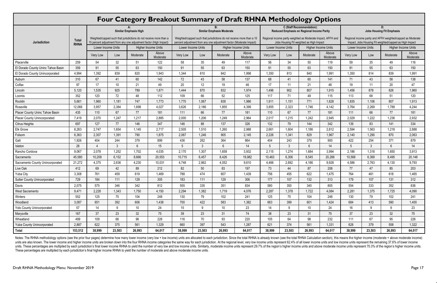| Four Category Breakout Summary of Draft RHNA Methodology Options |                             |                                                                                                                                                                          |                 |                 |                   |                                                                                                                                                                                  |        |                 |                   |                                                                                                                                                                                                   |              |                 |                   |                                                                                                                                                                  |                |          |                   |                    |
|------------------------------------------------------------------|-----------------------------|--------------------------------------------------------------------------------------------------------------------------------------------------------------------------|-----------------|-----------------|-------------------|----------------------------------------------------------------------------------------------------------------------------------------------------------------------------------|--------|-----------------|-------------------|---------------------------------------------------------------------------------------------------------------------------------------------------------------------------------------------------|--------------|-----------------|-------------------|------------------------------------------------------------------------------------------------------------------------------------------------------------------|----------------|----------|-------------------|--------------------|
| Jurisdiction                                                     | <b>Total</b><br><b>RHNA</b> | <b>Similar Emphasis High</b><br>Weighted/capped such that jurisdictions do not receive more than a<br>15 percent adjustment from any one adjustment factor (High Impact) |                 |                 |                   | <b>Similar Emphasis Moderate</b><br>Weighted/capped such that jurisdictions do not receive more than a 10<br>percent adjustment from any one adjustment factor (Moderate Impact) |        |                 |                   | <b>C</b> (Staff Recommendation):<br><b>Reduced Emphasis on Regional Income Parity</b><br>Regional income parity weighted as Moderate Impact, AFFH and<br>Jobs Housing Fit weighted as High Impact |              |                 |                   | D:<br><b>Jobs Housing Fit Emphasis</b><br>Regional income parity and AFFH weighted/capped as Moderate<br>Impact, Jobs Housing Fit weighted/capped as High Impact |                |          |                   |                    |
|                                                                  |                             |                                                                                                                                                                          |                 |                 |                   |                                                                                                                                                                                  |        |                 |                   |                                                                                                                                                                                                   |              |                 |                   |                                                                                                                                                                  |                |          |                   | Lower Income Units |
|                                                                  |                             | Very Low                                                                                                                                                                 | Low             | Moderate        | Above<br>Moderate | Very Low                                                                                                                                                                         | Low    | Moderate        | Above<br>Moderate | Very Low                                                                                                                                                                                          | Low          | Moderate        | Above<br>Moderate | Very Low                                                                                                                                                         | Low            | Moderate | Above<br>Moderate |                    |
|                                                                  |                             | Placerville                                                                                                                                                              | 259             | 54              | 32                | 51                                                                                                                                                                               | 122    | 58              | 35                | 49                                                                                                                                                                                                | 117          | 56              | 34                | 50                                                                                                                                                               | 119            | 59       | 35                | 49                 |
| El Dorado County Uninc Tahoe Basin                               | 359                         | 91                                                                                                                                                                       | 55              | 63              | 150               | 91                                                                                                                                                                               | 55     | 63              | 150               | 91                                                                                                                                                                                                | 55           | 63              | 150               | 91                                                                                                                                                               | 55             | 63       | 150               |                    |
| El Dorado County Unincorporated                                  | 4,994                       | 1,392                                                                                                                                                                    | 839             | 820             | 1,943             | 1,344                                                                                                                                                                            | 810    | 842             | 1,998             | 1,350                                                                                                                                                                                             | 813          | 840             | 1,991             | 1,350                                                                                                                                                            | 814            | 839      | 1,991             |                    |
| Auburn                                                           | 310                         | 67                                                                                                                                                                       | 41              | 60              | 142               | 72                                                                                                                                                                               | 43     | 58              | 137               | 68                                                                                                                                                                                                | 41           | 60              | 141               | 71                                                                                                                                                               | 43             | 58       | 138               |                    |
| Colfax                                                           | 97                          | 17                                                                                                                                                                       | 10 <sup>°</sup> | 21              | 49                | 20                                                                                                                                                                               | 12     | 19              | 46                | 17                                                                                                                                                                                                | 11           | 21              | 48                | 19                                                                                                                                                               | 11             | 20       | 47                |                    |
| Lincoln                                                          | 5,120                       | 1,535                                                                                                                                                                    | 925             | 789             | 1,871             | 1,444                                                                                                                                                                            | 870    | 832             | 1,974             | 1,496                                                                                                                                                                                             | 902          | 807             | 1,915             | 1,456                                                                                                                                                            | 878            | 826      | 1,960             |                    |
| Loomis                                                           | 352                         | 120                                                                                                                                                                      | 72              | 48              | 112               | 109                                                                                                                                                                              | 66     | 52              | 125               | 117                                                                                                                                                                                               | 71           | 49              | 115               | 113                                                                                                                                                              | 68             | 51       | 120               |                    |
| Rocklin                                                          | 5,661                       | 1,960                                                                                                                                                                    | 1,181           | 747             | 1,773             | 1,770                                                                                                                                                                            | 1,067  | 838             | 1,986             | 1,911                                                                                                                                                                                             | 1,151        | 771             | 1,828             | 1,835                                                                                                                                                            | 1,106          | 807      | 1,913             |                    |
| Roseville                                                        | 12,066                      | 3,957                                                                                                                                                                    | 2,384           | 1,698           | 4,027             | 3,626                                                                                                                                                                            | 2,186  | 1,855           | 4,399             | 3,855                                                                                                                                                                                             | 2,323        | 1,746           | 4,142             | 3,764                                                                                                                                                            | 2,269          | 1,789    | 4,244             |                    |
| Placer County Uninc Tahoe Basin                                  | 435                         | 110                                                                                                                                                                      | 67              | 77              | 181               | 111                                                                                                                                                                              | 66     | 77              | 181               | 110                                                                                                                                                                                               | 67           | 77              | 181               | 111                                                                                                                                                              | 66             | 77       | 181               |                    |
| <b>Placer County Unincorporated</b>                              | 7,419                       | 2,070                                                                                                                                                                    | 1,247           | 1,217           | 2,885             | 2,000                                                                                                                                                                            | 1,206  | 1,249           | 2,964             | 2,017                                                                                                                                                                                             | 1,215        | 1,242           | 2,945             | 2,029                                                                                                                                                            | 1,222          | 1,236    | 2,932             |                    |
| <b>Citrus Heights</b>                                            | 697                         | 127                                                                                                                                                                      | 77              | 146             | 347               | 146                                                                                                                                                                              | 88     | 137             | 326               | 132                                                                                                                                                                                               | 79           | 144             | 342               | 139                                                                                                                                                              | 83             | 141      | 334               |                    |
| Elk Grove                                                        | 8,263                       | 2,747                                                                                                                                                                    | 1,654           | 1,145           | 2,717             | 2,505                                                                                                                                                                            | 1,510  | 1,260           | 2,988             | 2,661                                                                                                                                                                                             | 1,604        | 1,186           | 2,812             | 2,594                                                                                                                                                            | 1,563          | 1,218    | 2,888             |                    |
| Folsom                                                           | 6,363                       | 2,307                                                                                                                                                                    | 1,391           | 790             | 1,875             | 2,067                                                                                                                                                                            | 1,246  | 905             | 2,145             | 2,226                                                                                                                                                                                             | 1,341        | 829             | 1,967             | 2,140                                                                                                                                                            | 1,290          | 870      | 2,063             |                    |
| Galt                                                             | 1,926                       | 404                                                                                                                                                                      | 244             | 379             | 899               | 436                                                                                                                                                                              | 262    | 364             | 864               | 404                                                                                                                                                                                               | 243          | 379             | 900               | 422                                                                                                                                                              | 254            | 371      | 879               |                    |
| Isleton                                                          | 28                          | $\overline{4}$                                                                                                                                                           | 3               | 6               | 15                | 5                                                                                                                                                                                | 3      | $6\phantom{1}$  | 14                | 5                                                                                                                                                                                                 | $\mathbf{3}$ | 6               | 14                | 5                                                                                                                                                                | $\mathfrak{Z}$ | 6        | 14                |                    |
| Rancho Cordova                                                   | 9,067                       | 2,078                                                                                                                                                                    | 1,252           | 1,702           | 4,035             | 2,170                                                                                                                                                                            | 1,307  | 1,658           | 3,932             | 2,115                                                                                                                                                                                             | 1,274        | 1,684           | 3,994             | 2,186                                                                                                                                                            | 1,318          | 1,650    | 3,913             |                    |
| Sacramento                                                       | 45,580                      | 10,209                                                                                                                                                                   | 6,152           | 8,666           | 20,553            | 10,715                                                                                                                                                                           | 6,457  | 8,426           | 19,982            | 10,463                                                                                                                                                                                            | 6,306        | 8,545           | 20,266            | 10,568                                                                                                                                                           | 6,369          | 8,495    | 20,148            |                    |
| Sacramento County Unincorporated                                 | 21,272                      | 4,375                                                                                                                                                                    | 2,636           | 4,230           | 10,031            | 4,748                                                                                                                                                                            | 2,862  | 4,052           | 9,610             | 4,466                                                                                                                                                                                             | 2,692        | 4,186           | 9,928             | 4,586                                                                                                                                                            | 2,763          | 4,130    | 9,793             |                    |
| Live Oak                                                         | 412                         | 69                                                                                                                                                                       | 42              | 89              | 212               | 82                                                                                                                                                                               | 50     | 83              | 197               | 73                                                                                                                                                                                                | 44           | 87              | 208               | 77                                                                                                                                                               | 47             | 85       | 203               |                    |
| <b>Yuba City</b>                                                 | 3,308                       | 761                                                                                                                                                                      | 459             | 619             | 1,469             | 788                                                                                                                                                                              | 474    | 607             | 1,439             | 756                                                                                                                                                                                               | 455          | 622             | 1,475             | 764                                                                                                                                                              | 461            | 618      | 1,465             |                    |
| <b>Sutter County Unincorporated</b>                              | 729                         | 184                                                                                                                                                                      | 111             | 129             | 305               | 183                                                                                                                                                                              | 111    | 129             | 306               | 177                                                                                                                                                                                               | 107          | 132             | 313               | 179                                                                                                                                                              | 107            | 131      | 312               |                    |
| Davis                                                            | 2,075                       | 575                                                                                                                                                                      | 346             | 342             | 812               | 555                                                                                                                                                                              | 335    | 351             | 834               | 580                                                                                                                                                                                               | 350          | 340             | 805               | 554                                                                                                                                                              | 333            | 352      | 836               |                    |
| West Sacramento                                                  | 9,471                       | 2,228                                                                                                                                                                    | 1,343           | 1,750           | 4,150             | 2,294                                                                                                                                                                            | 1,382  | 1,719           | 4,076             | 2,287                                                                                                                                                                                             | 1,378        | 1,722           | 4,084             | 2,281                                                                                                                                                            | 1,375          | 1,725    | 4,090             |                    |
| Winters                                                          | 552                         | 125                                                                                                                                                                      | 75              | 104             | 248               | 130                                                                                                                                                                              | 79     | 102             | 241               | 125                                                                                                                                                                                               | 75           | 104             | 248               | 130                                                                                                                                                              | 79             | 102      | 241               |                    |
| Woodland                                                         | 3,087                       | 651                                                                                                                                                                      | 392             | 606             | 1,438             | 700                                                                                                                                                                              | 422    | 583             | 1,382             | 663                                                                                                                                                                                               | 399          | 601             | 1,424             | 684                                                                                                                                                              | 413            | 590      | 1,400             |                    |
| Yolo County Unincorporated                                       | 57                          | 14                                                                                                                                                                       | 9               | 10 <sup>°</sup> | 24                | 15                                                                                                                                                                               | 9      | 10 <sup>°</sup> | 23                | 14                                                                                                                                                                                                | 9            | 10 <sup>1</sup> | 24                | 16                                                                                                                                                               | 9              | 9        | 23                |                    |
| Marysville                                                       | 167                         | 37                                                                                                                                                                       | 23              | 32              | 75                | 39                                                                                                                                                                               | 23     | 31              | 74                | 38                                                                                                                                                                                                | 23           | 31              | 75                | 37                                                                                                                                                               | 23             | 32       | 75                |                    |
| Wheatland                                                        | 499                         | 109                                                                                                                                                                      | 66              | 96              | 228               | 116                                                                                                                                                                              | 70     | 93              | 220               | 105                                                                                                                                                                                               | 64           | 98              | 232               | 111                                                                                                                                                              | 67             | 95       | 226               |                    |
| Yuba County Unincorporated                                       | 2,887                       | 622                                                                                                                                                                      | 375             | 561             | 1,329             | 660                                                                                                                                                                              | 397    | 543             | 1,287             | 621                                                                                                                                                                                               | 374          | 561             | 1,331             | 628                                                                                                                                                              | 379            | 558      | 1,322             |                    |
| <b>Total</b>                                                     | 153,512                     | 38,999                                                                                                                                                                   | 23,503          | 26,993          | 64,017            | 38,999                                                                                                                                                                           | 23,503 | 26,993          | 64,017            | 38,999                                                                                                                                                                                            | 23,503       | 26,993          | 64,017            | 38,999                                                                                                                                                           | 23,503         | 26,993   | 64,017            |                    |

#### Notes: The RHNA methodology options (see the prior four pages) determine how many lower income (very low + low income) units are allocated to each jurisdiction. Since the total RHNA is already known (see the total RHNA Cal units are also known. The lower income and higher income units are broken down into the four RHNA income categories the same way for each jurisdiction. At the regional level, very low income units represent 62.4% of all lo units. These percentages are multiplied by each jurisdiction's final lower income RHNA to yield the number of very low and low income units. Similarly, moderate income units represent 29.7% of the region's higher income un These percentages are multiplied by each jurisdiction's final higher income RHNA to yield the number of moderate and above moderate income units.